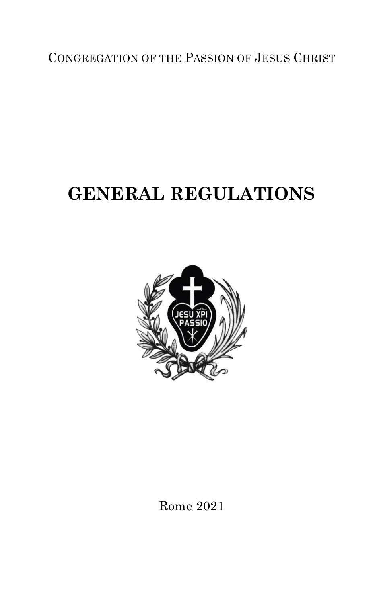CONGREGATION OF THE PASSION OF JESUS CHRIST

## **GENERAL REGULATIONS**



Rome 2021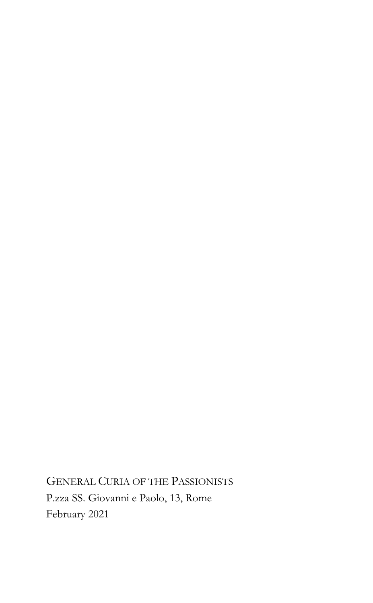GENERAL CURIA OF THE PASSIONISTS P.zza SS. Giovanni e Paolo, 13, Rome February 2021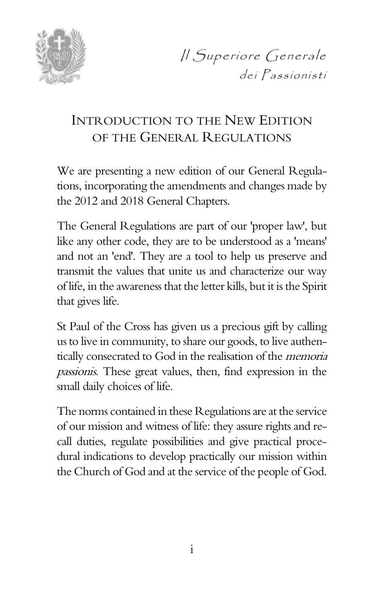

*Il Superiore Generale* dei Passionisti

### INTRODUCTION TO THE NEW EDITION OF THE GENERAL REGULATIONS

We are presenting a new edition of our General Regulations, incorporating the amendments and changes made by the 2012 and 2018 General Chapters.

The General Regulations are part of our 'proper law', but like any other code, they are to be understood as a 'means' and not an 'end'. They are a tool to help us preserve and transmit the values that unite us and characterize our way of life, in the awareness that the letter kills, but it is the Spirit that gives life.

St Paul of the Cross has given us a precious gift by calling us to live in community, to share our goods, to live authentically consecrated to God in the realisation of the memoria passionis. These great values, then, find expression in the small daily choices of life.

The norms contained in these Regulations are at the service of our mission and witness of life: they assure rights and recall duties, regulate possibilities and give practical procedural indications to develop practically our mission within the Church of God and at the service of the people of God.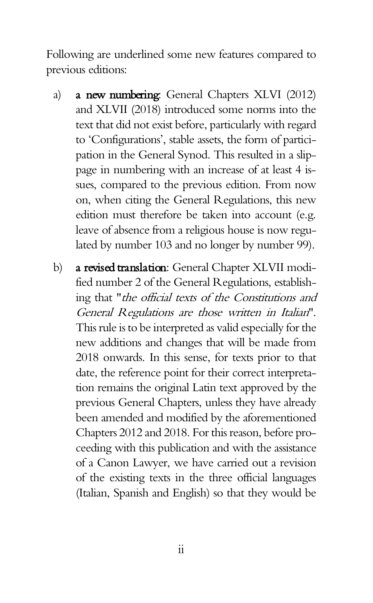Following are underlined some new features compared to previous editions:

- a) a new numbering: General Chapters XLVI (2012) and XLVII (2018) introduced some norms into the text that did not exist before, particularly with regard to 'Configurations', stable assets, the form of participation in the General Synod. This resulted in a slippage in numbering with an increase of at least 4 issues, compared to the previous edition. From now on, when citing the General Regulations, this new edition must therefore be taken into account (e.g. leave of absence from a religious house is now regulated by number 103 and no longer by number 99).
- b) a revised translation: General Chapter XLVII modified number 2 of the General Regulations, establishing that "the official texts of the Constitutions and General Regulations are those written in Italian". This rule is to be interpreted as valid especially for the new additions and changes that will be made from 2018 onwards. In this sense, for texts prior to that date, the reference point for their correct interpretation remains the original Latin text approved by the previous General Chapters, unless they have already been amended and modified by the aforementioned Chapters 2012 and 2018. For this reason, before proceeding with this publication and with the assistance of a Canon Lawyer, we have carried out a revision of the existing texts in the three official languages (Italian, Spanish and English) so that they would be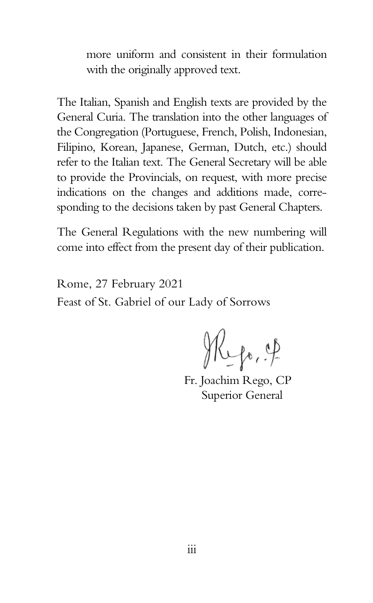more uniform and consistent in their formulation with the originally approved text.

The Italian, Spanish and English texts are provided by the General Curia. The translation into the other languages of the Congregation (Portuguese, French, Polish, Indonesian, Filipino, Korean, Japanese, German, Dutch, etc.) should refer to the Italian text. The General Secretary will be able to provide the Provincials, on request, with more precise indications on the changes and additions made, corresponding to the decisions taken by past General Chapters.

The General Regulations with the new numbering will come into effect from the present day of their publication.

Rome, 27 February 2021 Feast of St. Gabriel of our Lady of Sorrows

Hepo, of

Fr. Joachim Rego, CP Superior General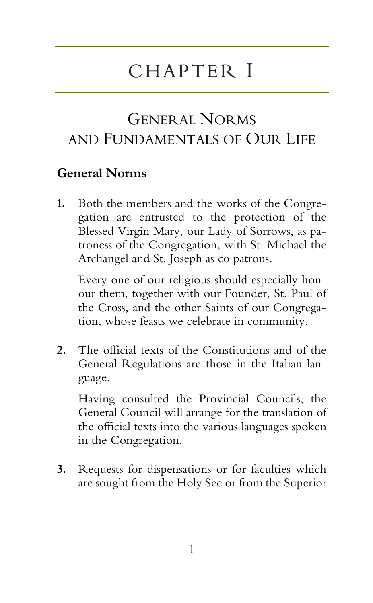# CHAPTER I

### GENERAL NORMS AND FUNDAMENTALS OF OUR LIFE

#### **General Norms**

**1.** Both the members and the works of the Congregation are entrusted to the protection of the Blessed Virgin Mary, our Lady of Sorrows, as patroness of the Congregation, with St. Michael the Archangel and St. Joseph as co patrons.

Every one of our religious should especially honour them, together with our Founder, St. Paul of the Cross, and the other Saints of our Congregation, whose feasts we celebrate in community.

**2.** The official texts of the Constitutions and of the General Regulations are those in the Italian language.

Having consulted the Provincial Councils, the General Council will arrange for the translation of the official texts into the various languages spoken in the Congregation.

**3.** Requests for dispensations or for faculties which are sought from the Holy See or from the Superior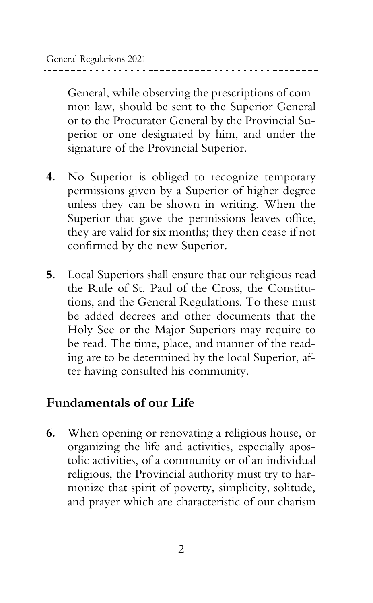General, while observing the prescriptions of common law, should be sent to the Superior General or to the Procurator General by the Provincial Superior or one designated by him, and under the signature of the Provincial Superior.

- **4.** No Superior is obliged to recognize temporary permissions given by a Superior of higher degree unless they can be shown in writing. When the Superior that gave the permissions leaves office, they are valid for six months; they then cease if not confirmed by the new Superior.
- **5.** Local Superiors shall ensure that our religious read the Rule of St. Paul of the Cross, the Constitutions, and the General Regulations. To these must be added decrees and other documents that the Holy See or the Major Superiors may require to be read. The time, place, and manner of the reading are to be determined by the local Superior, after having consulted his community.

#### **Fundamentals of our Life**

**6.** When opening or renovating a religious house, or organizing the life and activities, especially apostolic activities, of a community or of an individual religious, the Provincial authority must try to harmonize that spirit of poverty, simplicity, solitude, and prayer which are characteristic of our charism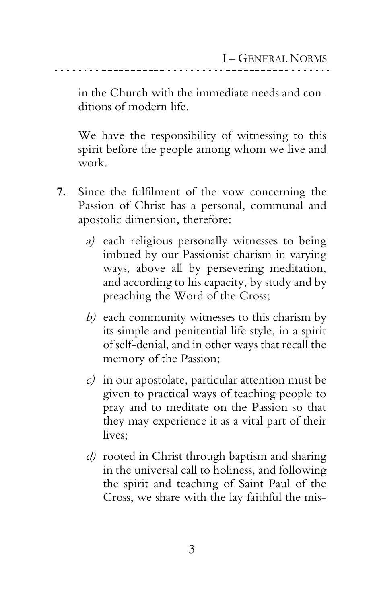in the Church with the immediate needs and conditions of modern life.

We have the responsibility of witnessing to this spirit before the people among whom we live and work.

- **7.** Since the fulfilment of the vow concerning the Passion of Christ has a personal, communal and apostolic dimension, therefore:
	- a) each religious personally witnesses to being imbued by our Passionist charism in varying ways, above all by persevering meditation, and according to his capacity, by study and by preaching the Word of the Cross;
	- b) each community witnesses to this charism by its simple and penitential life style, in a spirit of self-denial, and in other ways that recall the memory of the Passion;
	- $c$ ) in our apostolate, particular attention must be given to practical ways of teaching people to pray and to meditate on the Passion so that they may experience it as a vital part of their lives;
	- d) rooted in Christ through baptism and sharing in the universal call to holiness, and following the spirit and teaching of Saint Paul of the Cross, we share with the lay faithful the mis-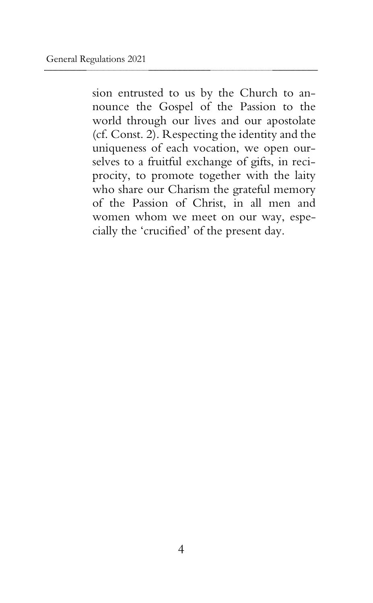sion entrusted to us by the Church to announce the Gospel of the Passion to the world through our lives and our apostolate (cf. Const. 2). Respecting the identity and the uniqueness of each vocation, we open ourselves to a fruitful exchange of gifts, in reciprocity, to promote together with the laity who share our Charism the grateful memory of the Passion of Christ, in all men and women whom we meet on our way, especially the 'crucified' of the present day.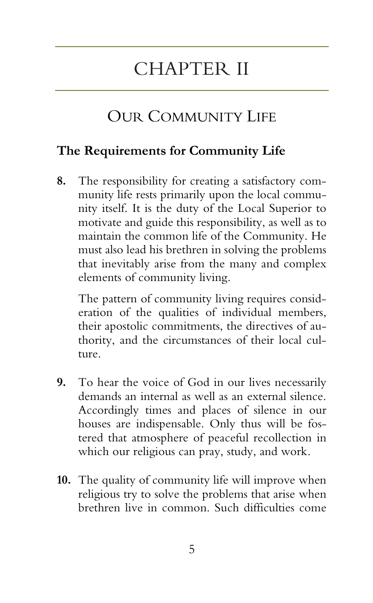## CHAPTER II

### OUR COMMUNITY LIFE

#### **The Requirements for Community Life**

**8.** The responsibility for creating a satisfactory community life rests primarily upon the local community itself. It is the duty of the Local Superior to motivate and guide this responsibility, as well as to maintain the common life of the Community. He must also lead his brethren in solving the problems that inevitably arise from the many and complex elements of community living.

The pattern of community living requires consideration of the qualities of individual members, their apostolic commitments, the directives of authority, and the circumstances of their local culture.

- **9.** To hear the voice of God in our lives necessarily demands an internal as well as an external silence. Accordingly times and places of silence in our houses are indispensable. Only thus will be fostered that atmosphere of peaceful recollection in which our religious can pray, study, and work.
- **10.** The quality of community life will improve when religious try to solve the problems that arise when brethren live in common. Such difficulties come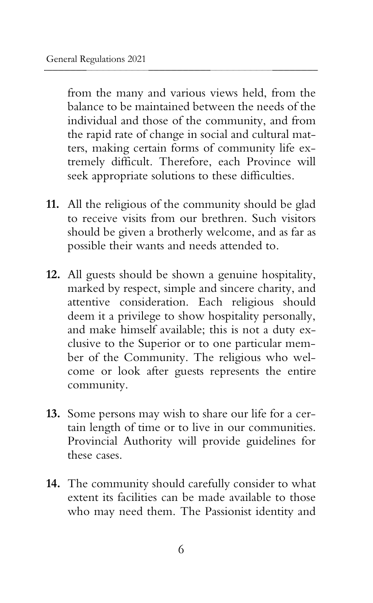from the many and various views held, from the balance to be maintained between the needs of the individual and those of the community, and from the rapid rate of change in social and cultural matters, making certain forms of community life extremely difficult. Therefore, each Province will seek appropriate solutions to these difficulties.

- **11.** All the religious of the community should be glad to receive visits from our brethren. Such visitors should be given a brotherly welcome, and as far as possible their wants and needs attended to.
- **12.** All guests should be shown a genuine hospitality, marked by respect, simple and sincere charity, and attentive consideration. Each religious should deem it a privilege to show hospitality personally, and make himself available; this is not a duty exclusive to the Superior or to one particular member of the Community. The religious who welcome or look after guests represents the entire community.
- **13.** Some persons may wish to share our life for a certain length of time or to live in our communities. Provincial Authority will provide guidelines for these cases.
- **14.** The community should carefully consider to what extent its facilities can be made available to those who may need them. The Passionist identity and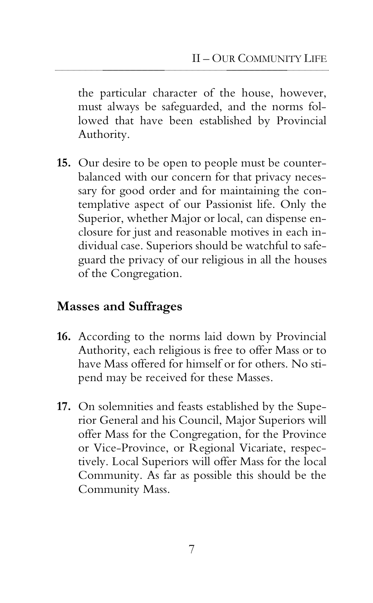the particular character of the house, however, must always be safeguarded, and the norms followed that have been established by Provincial Authority.

**15.** Our desire to be open to people must be counterbalanced with our concern for that privacy necessary for good order and for maintaining the contemplative aspect of our Passionist life. Only the Superior, whether Major or local, can dispense enclosure for just and reasonable motives in each individual case. Superiors should be watchful to safeguard the privacy of our religious in all the houses of the Congregation.

#### **Masses and Suffrages**

- **16.** According to the norms laid down by Provincial Authority, each religious is free to offer Mass or to have Mass offered for himself or for others. No stipend may be received for these Masses.
- **17.** On solemnities and feasts established by the Superior General and his Council, Major Superiors will offer Mass for the Congregation, for the Province or Vice-Province, or Regional Vicariate, respectively. Local Superiors will offer Mass for the local Community. As far as possible this should be the Community Mass.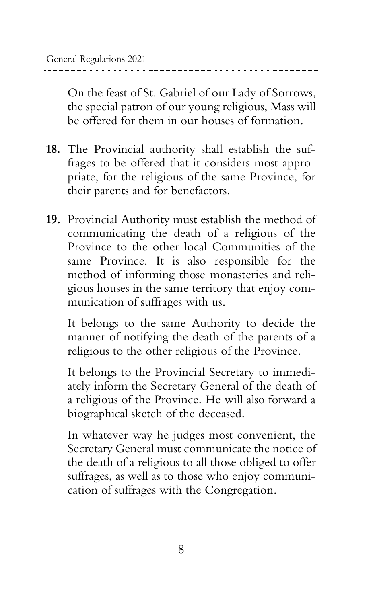On the feast of St. Gabriel of our Lady of Sorrows, the special patron of our young religious, Mass will be offered for them in our houses of formation.

- **18.** The Provincial authority shall establish the suffrages to be offered that it considers most appropriate, for the religious of the same Province, for their parents and for benefactors.
- **19.** Provincial Authority must establish the method of communicating the death of a religious of the Province to the other local Communities of the same Province. It is also responsible for the method of informing those monasteries and religious houses in the same territory that enjoy communication of suffrages with us.

It belongs to the same Authority to decide the manner of notifying the death of the parents of a religious to the other religious of the Province.

It belongs to the Provincial Secretary to immediately inform the Secretary General of the death of a religious of the Province. He will also forward a biographical sketch of the deceased.

In whatever way he judges most convenient, the Secretary General must communicate the notice of the death of a religious to all those obliged to offer suffrages, as well as to those who enjoy communication of suffrages with the Congregation.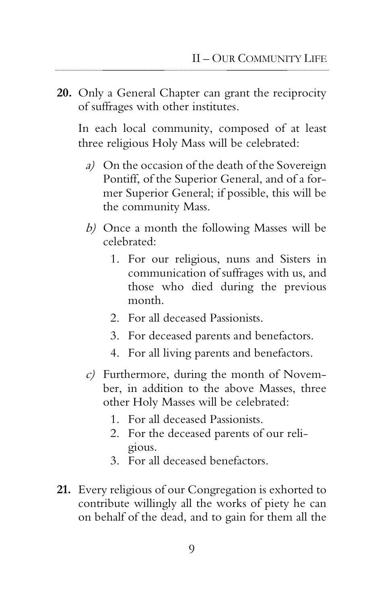**20.** Only a General Chapter can grant the reciprocity of suffrages with other institutes.

In each local community, composed of at least three religious Holy Mass will be celebrated:

- a) On the occasion of the death of the Sovereign Pontiff, of the Superior General, and of a former Superior General; if possible, this will be the community Mass.
- b) Once a month the following Masses will be celebrated:
	- 1. For our religious, nuns and Sisters in communication of suffrages with us, and those who died during the previous month.
	- 2. For all deceased Passionists.
	- 3. For deceased parents and benefactors.
	- 4. For all living parents and benefactors.
- $c$ ) Furthermore, during the month of November, in addition to the above Masses, three other Holy Masses will be celebrated:
	- 1. For all deceased Passionists.
	- 2. For the deceased parents of our religious.
	- 3. For all deceased benefactors.
- **21.** Every religious of our Congregation is exhorted to contribute willingly all the works of piety he can on behalf of the dead, and to gain for them all the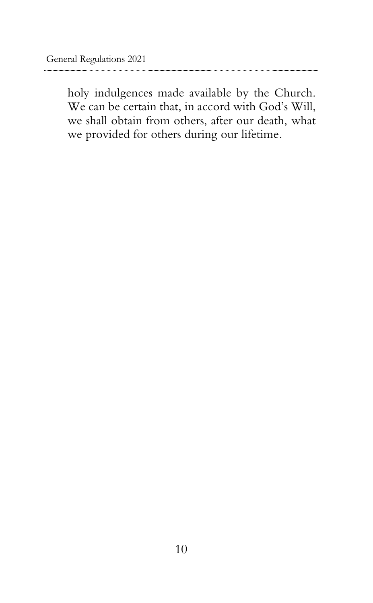holy indulgences made available by the Church. We can be certain that, in accord with God's Will, we shall obtain from others, after our death, what we provided for others during our lifetime.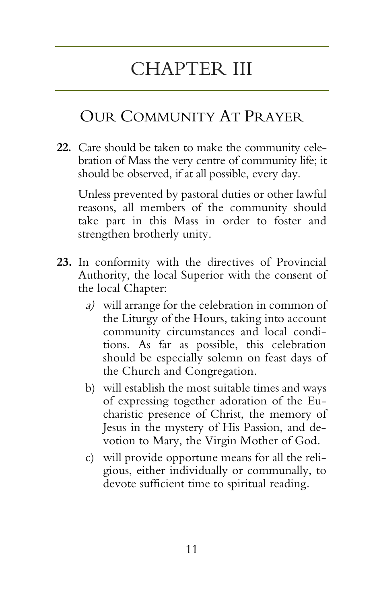## CHAPTER III

### OUR COMMUNITY AT PRAYER

**22.** Care should be taken to make the community celebration of Mass the very centre of community life; it should be observed, if at all possible, every day.

Unless prevented by pastoral duties or other lawful reasons, all members of the community should take part in this Mass in order to foster and strengthen brotherly unity.

- **23.** In conformity with the directives of Provincial Authority, the local Superior with the consent of the local Chapter:
	- a) will arrange for the celebration in common of the Liturgy of the Hours, taking into account community circumstances and local conditions. As far as possible, this celebration should be especially solemn on feast days of the Church and Congregation.
	- b) will establish the most suitable times and ways of expressing together adoration of the Eucharistic presence of Christ, the memory of Jesus in the mystery of His Passion, and devotion to Mary, the Virgin Mother of God.
	- c) will provide opportune means for all the religious, either individually or communally, to devote sufficient time to spiritual reading.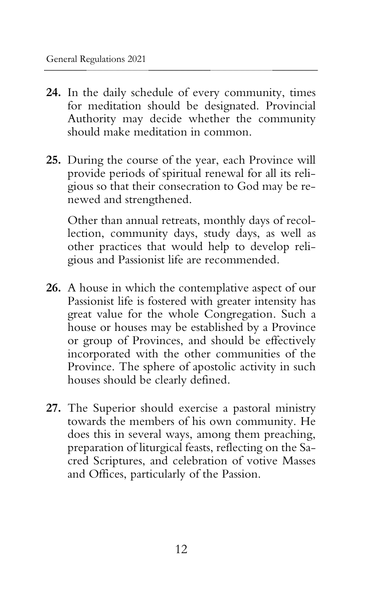- **24.** In the daily schedule of every community, times for meditation should be designated. Provincial Authority may decide whether the community should make meditation in common.
- **25.** During the course of the year, each Province will provide periods of spiritual renewal for all its religious so that their consecration to God may be renewed and strengthened.

Other than annual retreats, monthly days of recollection, community days, study days, as well as other practices that would help to develop religious and Passionist life are recommended.

- **26.** A house in which the contemplative aspect of our Passionist life is fostered with greater intensity has great value for the whole Congregation. Such a house or houses may be established by a Province or group of Provinces, and should be effectively incorporated with the other communities of the Province. The sphere of apostolic activity in such houses should be clearly defined.
- **27.** The Superior should exercise a pastoral ministry towards the members of his own community. He does this in several ways, among them preaching, preparation of liturgical feasts, reflecting on the Sacred Scriptures, and celebration of votive Masses and Offices, particularly of the Passion.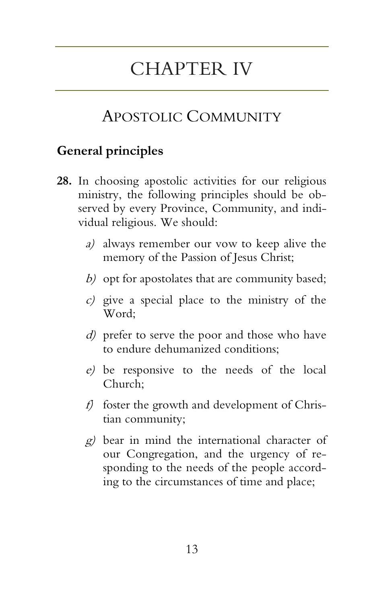## CHAPTER IV

### APOSTOLIC COMMUNITY

#### **General principles**

- **28.** In choosing apostolic activities for our religious ministry, the following principles should be observed by every Province, Community, and individual religious. We should:
	- a) always remember our vow to keep alive the memory of the Passion of Jesus Christ;
	- b) opt for apostolates that are community based;
	- c) give a special place to the ministry of the Word;
	- d) prefer to serve the poor and those who have to endure dehumanized conditions;
	- e) be responsive to the needs of the local Church;
	- f) foster the growth and development of Christian community;
	- g) bear in mind the international character of our Congregation, and the urgency of responding to the needs of the people according to the circumstances of time and place;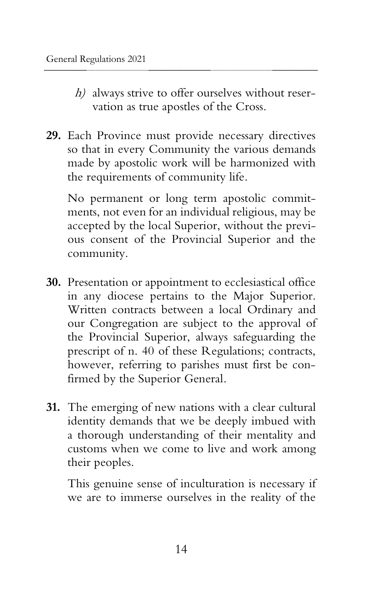- h) always strive to offer ourselves without reservation as true apostles of the Cross.
- **29.** Each Province must provide necessary directives so that in every Community the various demands made by apostolic work will be harmonized with the requirements of community life.

No permanent or long term apostolic commitments, not even for an individual religious, may be accepted by the local Superior, without the previous consent of the Provincial Superior and the community.

- **30.** Presentation or appointment to ecclesiastical office in any diocese pertains to the Major Superior. Written contracts between a local Ordinary and our Congregation are subject to the approval of the Provincial Superior, always safeguarding the prescript of n. 40 of these Regulations; contracts, however, referring to parishes must first be confirmed by the Superior General.
- **31.** The emerging of new nations with a clear cultural identity demands that we be deeply imbued with a thorough understanding of their mentality and customs when we come to live and work among their peoples.

This genuine sense of inculturation is necessary if we are to immerse ourselves in the reality of the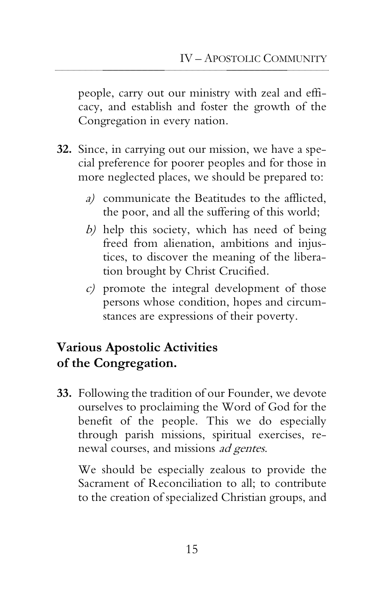people, carry out our ministry with zeal and efficacy, and establish and foster the growth of the Congregation in every nation.

- **32.** Since, in carrying out our mission, we have a special preference for poorer peoples and for those in more neglected places, we should be prepared to:
	- a) communicate the Beatitudes to the afflicted, the poor, and all the suffering of this world;
	- b) help this society, which has need of being freed from alienation, ambitions and injustices, to discover the meaning of the liberation brought by Christ Crucified.
	- c) promote the integral development of those persons whose condition, hopes and circumstances are expressions of their poverty.

#### **Various Apostolic Activities of the Congregation.**

**33.** Following the tradition of our Founder, we devote ourselves to proclaiming the Word of God for the benefit of the people. This we do especially through parish missions, spiritual exercises, renewal courses, and missions ad gentes.

We should be especially zealous to provide the Sacrament of Reconciliation to all; to contribute to the creation of specialized Christian groups, and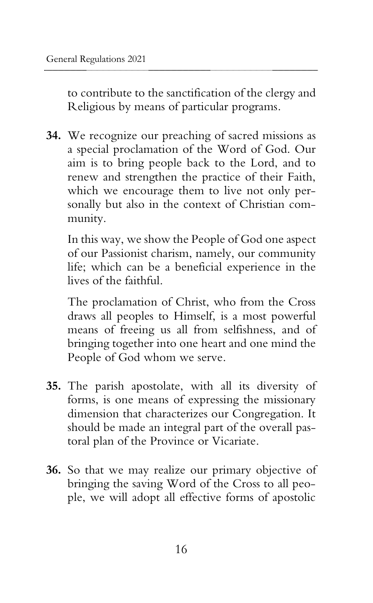to contribute to the sanctification of the clergy and Religious by means of particular programs.

**34.** We recognize our preaching of sacred missions as a special proclamation of the Word of God. Our aim is to bring people back to the Lord, and to renew and strengthen the practice of their Faith, which we encourage them to live not only personally but also in the context of Christian community.

In this way, we show the People of God one aspect of our Passionist charism, namely, our community life; which can be a beneficial experience in the lives of the faithful.

The proclamation of Christ, who from the Cross draws all peoples to Himself, is a most powerful means of freeing us all from selfishness, and of bringing together into one heart and one mind the People of God whom we serve.

- **35.** The parish apostolate, with all its diversity of forms, is one means of expressing the missionary dimension that characterizes our Congregation. It should be made an integral part of the overall pastoral plan of the Province or Vicariate.
- **36.** So that we may realize our primary objective of bringing the saving Word of the Cross to all people, we will adopt all effective forms of apostolic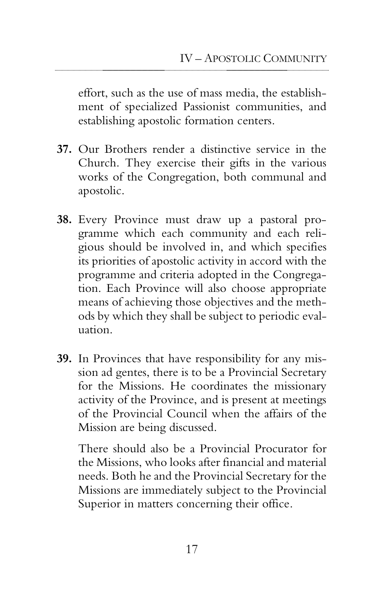effort, such as the use of mass media, the establishment of specialized Passionist communities, and establishing apostolic formation centers.

- **37.** Our Brothers render a distinctive service in the Church. They exercise their gifts in the various works of the Congregation, both communal and apostolic.
- **38.** Every Province must draw up a pastoral programme which each community and each religious should be involved in, and which specifies its priorities of apostolic activity in accord with the programme and criteria adopted in the Congregation. Each Province will also choose appropriate means of achieving those objectives and the methods by which they shall be subject to periodic evaluation.
- **39.** In Provinces that have responsibility for any mission ad gentes, there is to be a Provincial Secretary for the Missions. He coordinates the missionary activity of the Province, and is present at meetings of the Provincial Council when the affairs of the Mission are being discussed.

There should also be a Provincial Procurator for the Missions, who looks after financial and material needs. Both he and the Provincial Secretary for the Missions are immediately subject to the Provincial Superior in matters concerning their office.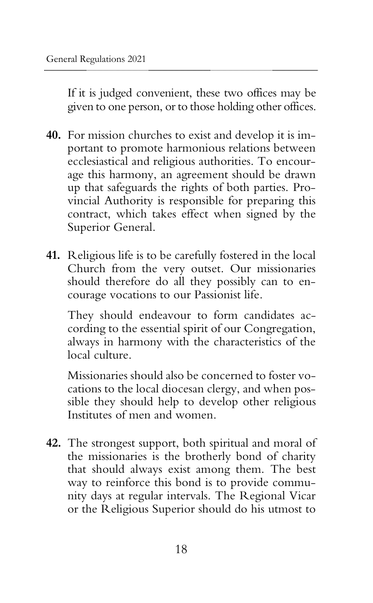If it is judged convenient, these two offices may be given to one person, or to those holding other offices.

- **40.** For mission churches to exist and develop it is important to promote harmonious relations between ecclesiastical and religious authorities. To encourage this harmony, an agreement should be drawn up that safeguards the rights of both parties. Provincial Authority is responsible for preparing this contract, which takes effect when signed by the Superior General.
- **41.** Religious life is to be carefully fostered in the local Church from the very outset. Our missionaries should therefore do all they possibly can to encourage vocations to our Passionist life.

They should endeavour to form candidates according to the essential spirit of our Congregation, always in harmony with the characteristics of the local culture.

Missionaries should also be concerned to foster vocations to the local diocesan clergy, and when possible they should help to develop other religious Institutes of men and women.

**42.** The strongest support, both spiritual and moral of the missionaries is the brotherly bond of charity that should always exist among them. The best way to reinforce this bond is to provide community days at regular intervals. The Regional Vicar or the Religious Superior should do his utmost to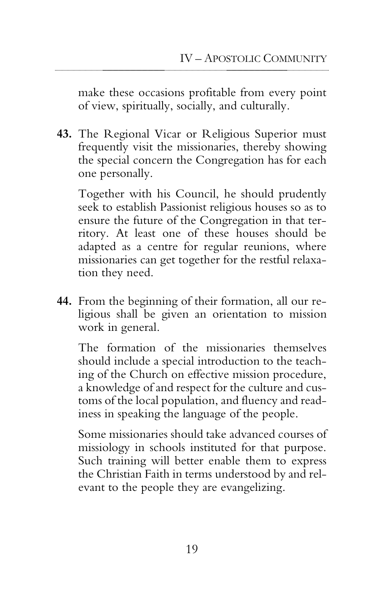make these occasions profitable from every point of view, spiritually, socially, and culturally.

**43.** The Regional Vicar or Religious Superior must frequently visit the missionaries, thereby showing the special concern the Congregation has for each one personally.

Together with his Council, he should prudently seek to establish Passionist religious houses so as to ensure the future of the Congregation in that territory. At least one of these houses should be adapted as a centre for regular reunions, where missionaries can get together for the restful relaxation they need.

**44.** From the beginning of their formation, all our religious shall be given an orientation to mission work in general.

The formation of the missionaries themselves should include a special introduction to the teaching of the Church on effective mission procedure, a knowledge of and respect for the culture and customs of the local population, and fluency and readiness in speaking the language of the people.

Some missionaries should take advanced courses of missiology in schools instituted for that purpose. Such training will better enable them to express the Christian Faith in terms understood by and relevant to the people they are evangelizing.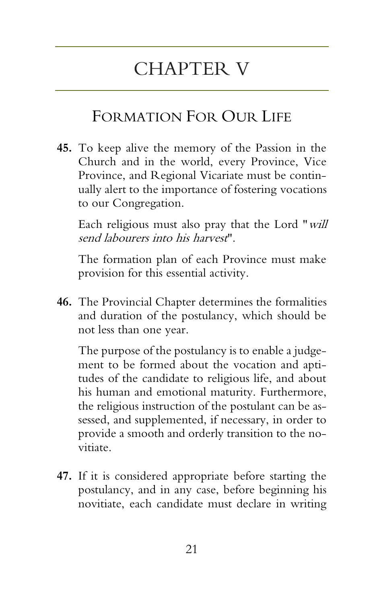## CHAPTER V

### FORMATION FOR OUR LIFE

**45.** To keep alive the memory of the Passion in the Church and in the world, every Province, Vice Province, and Regional Vicariate must be continually alert to the importance of fostering vocations to our Congregation.

Each religious must also pray that the Lord "will send labourers into his harvest".

The formation plan of each Province must make provision for this essential activity.

**46.** The Provincial Chapter determines the formalities and duration of the postulancy, which should be not less than one year.

The purpose of the postulancy is to enable a judgement to be formed about the vocation and aptitudes of the candidate to religious life, and about his human and emotional maturity. Furthermore, the religious instruction of the postulant can be assessed, and supplemented, if necessary, in order to provide a smooth and orderly transition to the novitiate.

**47.** If it is considered appropriate before starting the postulancy, and in any case, before beginning his novitiate, each candidate must declare in writing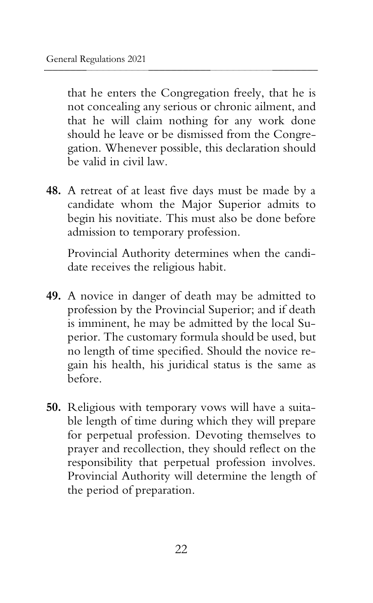that he enters the Congregation freely, that he is not concealing any serious or chronic ailment, and that he will claim nothing for any work done should he leave or be dismissed from the Congregation. Whenever possible, this declaration should be valid in civil law.

**48.** A retreat of at least five days must be made by a candidate whom the Major Superior admits to begin his novitiate. This must also be done before admission to temporary profession.

Provincial Authority determines when the candidate receives the religious habit.

- **49.** A novice in danger of death may be admitted to profession by the Provincial Superior; and if death is imminent, he may be admitted by the local Superior. The customary formula should be used, but no length of time specified. Should the novice regain his health, his juridical status is the same as before.
- **50.** Religious with temporary vows will have a suitable length of time during which they will prepare for perpetual profession. Devoting themselves to prayer and recollection, they should reflect on the responsibility that perpetual profession involves. Provincial Authority will determine the length of the period of preparation.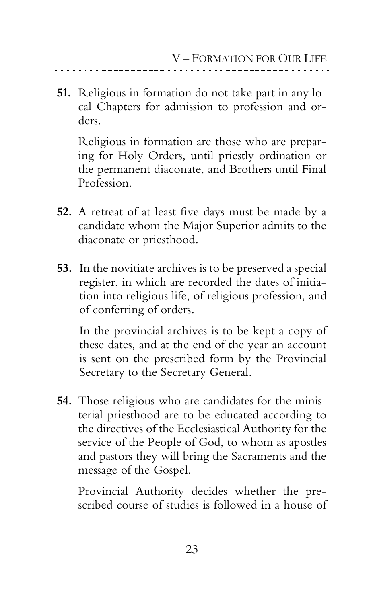**51.** Religious in formation do not take part in any local Chapters for admission to profession and orders.

Religious in formation are those who are preparing for Holy Orders, until priestly ordination or the permanent diaconate, and Brothers until Final Profession.

- **52.** A retreat of at least five days must be made by a candidate whom the Major Superior admits to the diaconate or priesthood.
- **53.** In the novitiate archives is to be preserved a special register, in which are recorded the dates of initiation into religious life, of religious profession, and of conferring of orders.

In the provincial archives is to be kept a copy of these dates, and at the end of the year an account is sent on the prescribed form by the Provincial Secretary to the Secretary General.

**54.** Those religious who are candidates for the ministerial priesthood are to be educated according to the directives of the Ecclesiastical Authority for the service of the People of God, to whom as apostles and pastors they will bring the Sacraments and the message of the Gospel.

Provincial Authority decides whether the prescribed course of studies is followed in a house of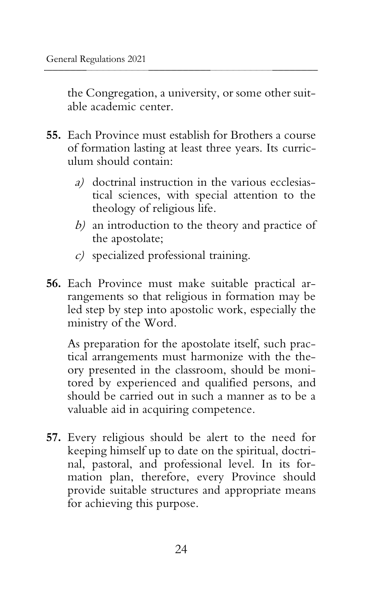the Congregation, a university, or some other suitable academic center.

- **55.** Each Province must establish for Brothers a course of formation lasting at least three years. Its curriculum should contain:
	- a) doctrinal instruction in the various ecclesiastical sciences, with special attention to the theology of religious life.
	- b) an introduction to the theory and practice of the apostolate;
	- c) specialized professional training.
- **56.** Each Province must make suitable practical arrangements so that religious in formation may be led step by step into apostolic work, especially the ministry of the Word.

As preparation for the apostolate itself, such practical arrangements must harmonize with the theory presented in the classroom, should be monitored by experienced and qualified persons, and should be carried out in such a manner as to be a valuable aid in acquiring competence.

**57.** Every religious should be alert to the need for keeping himself up to date on the spiritual, doctrinal, pastoral, and professional level. In its formation plan, therefore, every Province should provide suitable structures and appropriate means for achieving this purpose.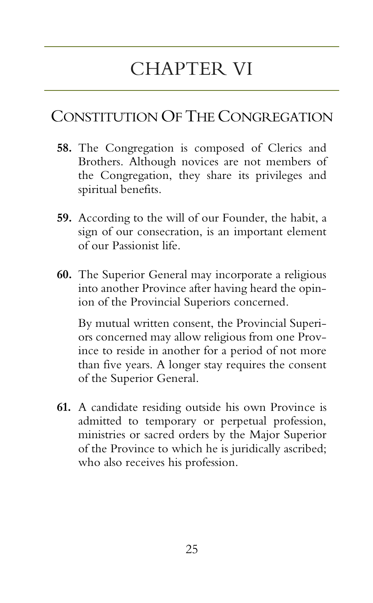# CHAPTER VI

### CONSTITUTION OF THE CONGREGATION

- **58.** The Congregation is composed of Clerics and Brothers. Although novices are not members of the Congregation, they share its privileges and spiritual benefits.
- **59.** According to the will of our Founder, the habit, a sign of our consecration, is an important element of our Passionist life.
- **60.** The Superior General may incorporate a religious into another Province after having heard the opinion of the Provincial Superiors concerned.

By mutual written consent, the Provincial Superiors concerned may allow religious from one Province to reside in another for a period of not more than five years. A longer stay requires the consent of the Superior General.

**61.** A candidate residing outside his own Province is admitted to temporary or perpetual profession, ministries or sacred orders by the Major Superior of the Province to which he is juridically ascribed; who also receives his profession.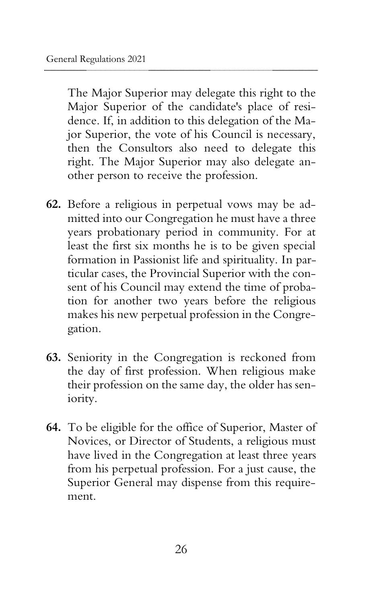The Major Superior may delegate this right to the Major Superior of the candidate's place of residence. If, in addition to this delegation of the Major Superior, the vote of his Council is necessary, then the Consultors also need to delegate this right. The Major Superior may also delegate another person to receive the profession.

- **62.** Before a religious in perpetual vows may be admitted into our Congregation he must have a three years probationary period in community. For at least the first six months he is to be given special formation in Passionist life and spirituality. In particular cases, the Provincial Superior with the consent of his Council may extend the time of probation for another two years before the religious makes his new perpetual profession in the Congregation.
- **63.** Seniority in the Congregation is reckoned from the day of first profession. When religious make their profession on the same day, the older has seniority.
- **64.** To be eligible for the office of Superior, Master of Novices, or Director of Students, a religious must have lived in the Congregation at least three years from his perpetual profession. For a just cause, the Superior General may dispense from this requirement.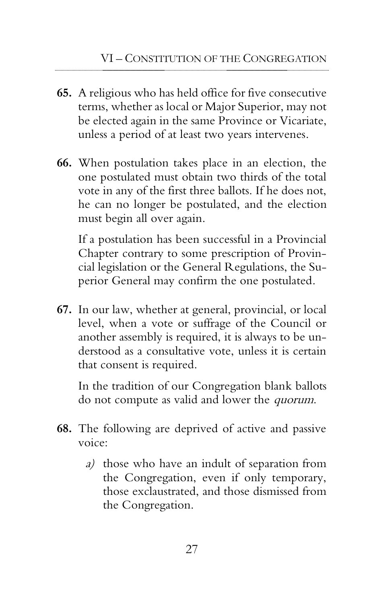- **65.** A religious who has held office for five consecutive terms, whether as local or Major Superior, may not be elected again in the same Province or Vicariate, unless a period of at least two years intervenes.
- **66.** When postulation takes place in an election, the one postulated must obtain two thirds of the total vote in any of the first three ballots. If he does not, he can no longer be postulated, and the election must begin all over again.

If a postulation has been successful in a Provincial Chapter contrary to some prescription of Provincial legislation or the General Regulations, the Superior General may confirm the one postulated.

**67.** In our law, whether at general, provincial, or local level, when a vote or suffrage of the Council or another assembly is required, it is always to be understood as a consultative vote, unless it is certain that consent is required.

In the tradition of our Congregation blank ballots do not compute as valid and lower the quorum.

- **68.** The following are deprived of active and passive voice:
	- a) those who have an indult of separation from the Congregation, even if only temporary, those exclaustrated, and those dismissed from the Congregation.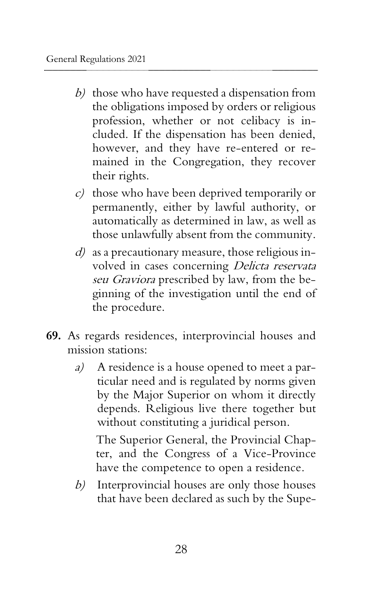- b) those who have requested a dispensation from the obligations imposed by orders or religious profession, whether or not celibacy is included. If the dispensation has been denied, however, and they have re-entered or remained in the Congregation, they recover their rights.
- $c$ ) those who have been deprived temporarily or permanently, either by lawful authority, or automatically as determined in law, as well as those unlawfully absent from the community.
- $d$ ) as a precautionary measure, those religious involved in cases concerning Delicta reservata seu Graviora prescribed by law, from the beginning of the investigation until the end of the procedure.
- **69.** As regards residences, interprovincial houses and mission stations:
	- a) A residence is a house opened to meet a particular need and is regulated by norms given by the Major Superior on whom it directly depends. Religious live there together but without constituting a juridical person.

The Superior General, the Provincial Chapter, and the Congress of a Vice-Province have the competence to open a residence.

b) Interprovincial houses are only those houses that have been declared as such by the Supe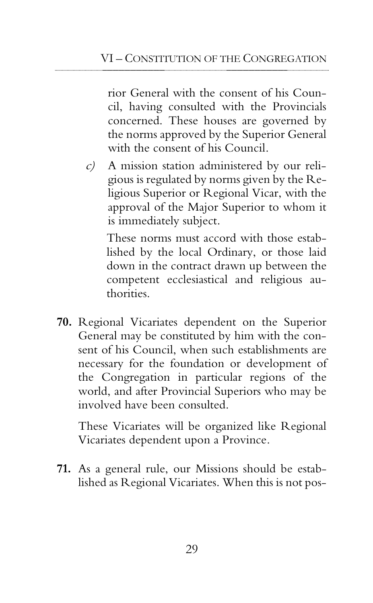rior General with the consent of his Council, having consulted with the Provincials concerned. These houses are governed by the norms approved by the Superior General with the consent of his Council.

c) A mission station administered by our religious is regulated by norms given by the Religious Superior or Regional Vicar, with the approval of the Major Superior to whom it is immediately subject.

These norms must accord with those established by the local Ordinary, or those laid down in the contract drawn up between the competent ecclesiastical and religious authorities.

**70.** Regional Vicariates dependent on the Superior General may be constituted by him with the consent of his Council, when such establishments are necessary for the foundation or development of the Congregation in particular regions of the world, and after Provincial Superiors who may be involved have been consulted.

These Vicariates will be organized like Regional Vicariates dependent upon a Province.

**71.** As a general rule, our Missions should be established as Regional Vicariates. When this is not pos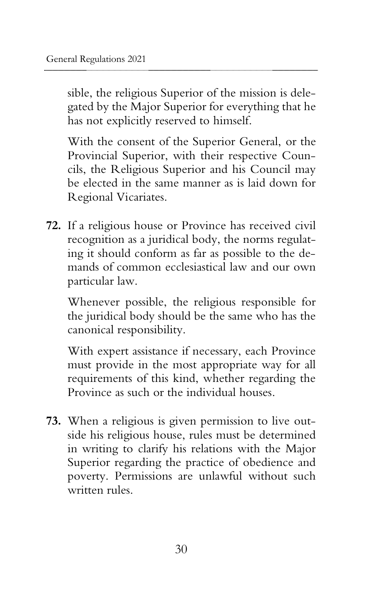sible, the religious Superior of the mission is delegated by the Major Superior for everything that he has not explicitly reserved to himself.

With the consent of the Superior General, or the Provincial Superior, with their respective Councils, the Religious Superior and his Council may be elected in the same manner as is laid down for Regional Vicariates.

**72.** If a religious house or Province has received civil recognition as a juridical body, the norms regulating it should conform as far as possible to the demands of common ecclesiastical law and our own particular law.

Whenever possible, the religious responsible for the juridical body should be the same who has the canonical responsibility.

With expert assistance if necessary, each Province must provide in the most appropriate way for all requirements of this kind, whether regarding the Province as such or the individual houses.

**73.** When a religious is given permission to live outside his religious house, rules must be determined in writing to clarify his relations with the Major Superior regarding the practice of obedience and poverty. Permissions are unlawful without such written rules.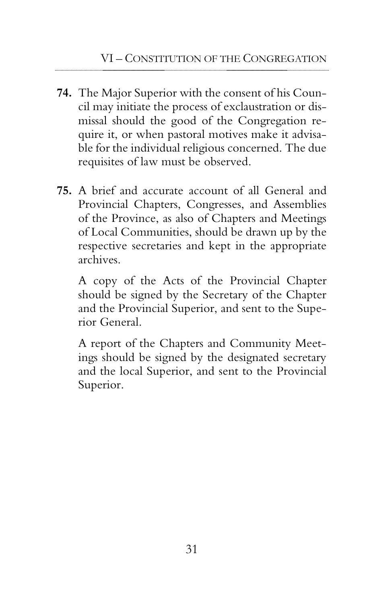- **74.** The Major Superior with the consent of his Council may initiate the process of exclaustration or dismissal should the good of the Congregation require it, or when pastoral motives make it advisable for the individual religious concerned. The due requisites of law must be observed.
- **75.** A brief and accurate account of all General and Provincial Chapters, Congresses, and Assemblies of the Province, as also of Chapters and Meetings of Local Communities, should be drawn up by the respective secretaries and kept in the appropriate archives.

A copy of the Acts of the Provincial Chapter should be signed by the Secretary of the Chapter and the Provincial Superior, and sent to the Superior General.

A report of the Chapters and Community Meetings should be signed by the designated secretary and the local Superior, and sent to the Provincial Superior.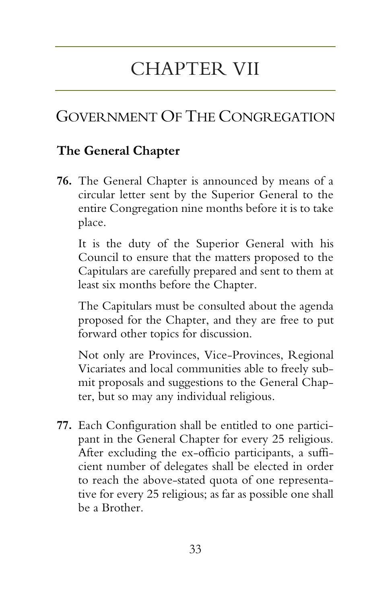# CHAPTER VII

# GOVERNMENT OF THE CONGREGATION

## **The General Chapter**

**76.** The General Chapter is announced by means of a circular letter sent by the Superior General to the entire Congregation nine months before it is to take place.

It is the duty of the Superior General with his Council to ensure that the matters proposed to the Capitulars are carefully prepared and sent to them at least six months before the Chapter.

The Capitulars must be consulted about the agenda proposed for the Chapter, and they are free to put forward other topics for discussion.

Not only are Provinces, Vice-Provinces, Regional Vicariates and local communities able to freely submit proposals and suggestions to the General Chapter, but so may any individual religious.

**77.** Each Configuration shall be entitled to one participant in the General Chapter for every 25 religious. After excluding the ex-officio participants, a sufficient number of delegates shall be elected in order to reach the above-stated quota of one representative for every 25 religious; as far as possible one shall be a Brother.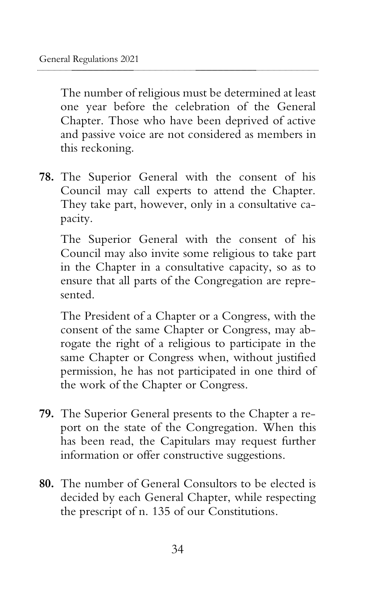The number of religious must be determined at least one year before the celebration of the General Chapter. Those who have been deprived of active and passive voice are not considered as members in this reckoning.

**78.** The Superior General with the consent of his Council may call experts to attend the Chapter. They take part, however, only in a consultative capacity.

The Superior General with the consent of his Council may also invite some religious to take part in the Chapter in a consultative capacity, so as to ensure that all parts of the Congregation are represented.

The President of a Chapter or a Congress, with the consent of the same Chapter or Congress, may abrogate the right of a religious to participate in the same Chapter or Congress when, without justified permission, he has not participated in one third of the work of the Chapter or Congress.

- **79.** The Superior General presents to the Chapter a report on the state of the Congregation. When this has been read, the Capitulars may request further information or offer constructive suggestions.
- **80.** The number of General Consultors to be elected is decided by each General Chapter, while respecting the prescript of n. 135 of our Constitutions.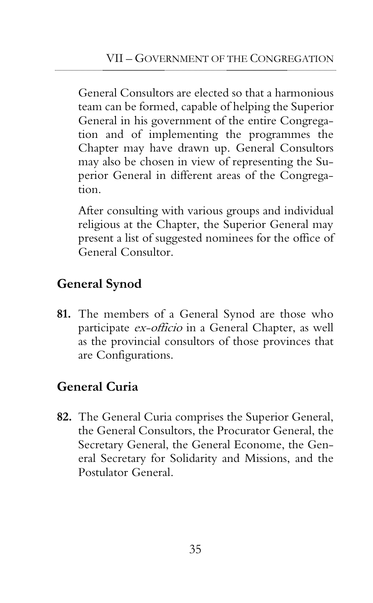General Consultors are elected so that a harmonious team can be formed, capable of helping the Superior General in his government of the entire Congregation and of implementing the programmes the Chapter may have drawn up. General Consultors may also be chosen in view of representing the Superior General in different areas of the Congregation.

After consulting with various groups and individual religious at the Chapter, the Superior General may present a list of suggested nominees for the office of General Consultor.

## **General Synod**

**81.** The members of a General Synod are those who participate ex-officio in a General Chapter, as well as the provincial consultors of those provinces that are Configurations.

## **General Curia**

**82.** The General Curia comprises the Superior General, the General Consultors, the Procurator General, the Secretary General, the General Econome, the General Secretary for Solidarity and Missions, and the Postulator General.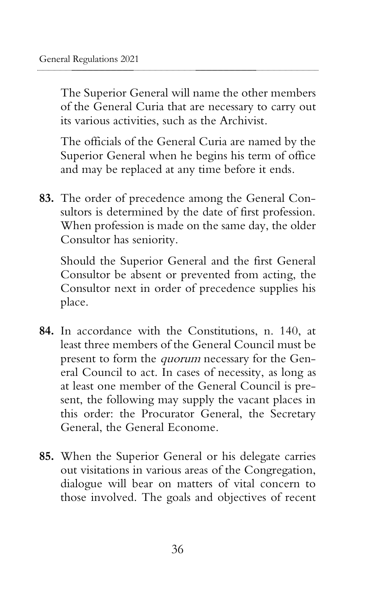The Superior General will name the other members of the General Curia that are necessary to carry out its various activities, such as the Archivist.

The officials of the General Curia are named by the Superior General when he begins his term of office and may be replaced at any time before it ends.

**83.** The order of precedence among the General Consultors is determined by the date of first profession. When profession is made on the same day, the older Consultor has seniority.

Should the Superior General and the first General Consultor be absent or prevented from acting, the Consultor next in order of precedence supplies his place.

- **84.** In accordance with the Constitutions, n. 140, at least three members of the General Council must be present to form the quorum necessary for the General Council to act. In cases of necessity, as long as at least one member of the General Council is present, the following may supply the vacant places in this order: the Procurator General, the Secretary General, the General Econome.
- **85.** When the Superior General or his delegate carries out visitations in various areas of the Congregation, dialogue will bear on matters of vital concern to those involved. The goals and objectives of recent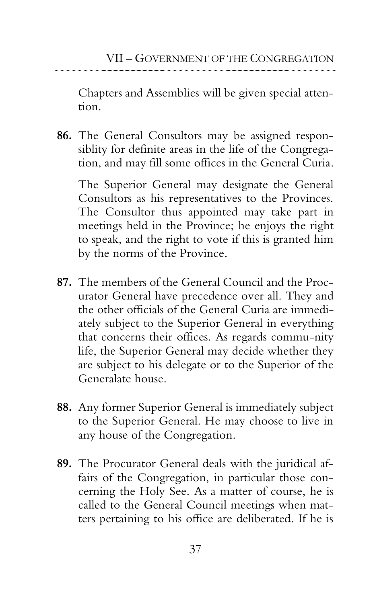Chapters and Assemblies will be given special attention.

**86.** The General Consultors may be assigned responsiblity for definite areas in the life of the Congregation, and may fill some offices in the General Curia.

The Superior General may designate the General Consultors as his representatives to the Provinces. The Consultor thus appointed may take part in meetings held in the Province; he enjoys the right to speak, and the right to vote if this is granted him by the norms of the Province.

- **87.** The members of the General Council and the Procurator General have precedence over all. They and the other officials of the General Curia are immediately subject to the Superior General in everything that concerns their offices. As regards commu-nity life, the Superior General may decide whether they are subject to his delegate or to the Superior of the Generalate house.
- **88.** Any former Superior General is immediately subject to the Superior General. He may choose to live in any house of the Congregation.
- **89.** The Procurator General deals with the juridical affairs of the Congregation, in particular those concerning the Holy See. As a matter of course, he is called to the General Council meetings when matters pertaining to his office are deliberated. If he is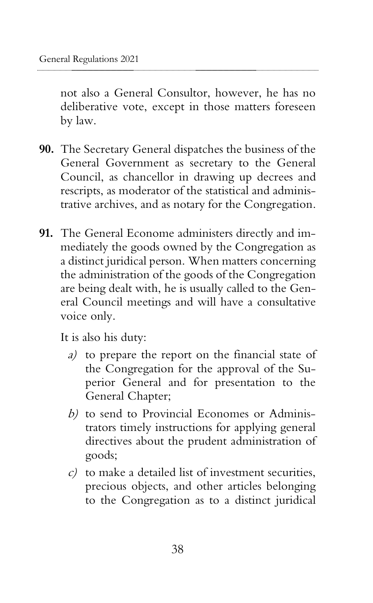not also a General Consultor, however, he has no deliberative vote, except in those matters foreseen by law.

- **90.** The Secretary General dispatches the business of the General Government as secretary to the General Council, as chancellor in drawing up decrees and rescripts, as moderator of the statistical and administrative archives, and as notary for the Congregation.
- **91.** The General Econome administers directly and immediately the goods owned by the Congregation as a distinct juridical person. When matters concerning the administration of the goods of the Congregation are being dealt with, he is usually called to the General Council meetings and will have a consultative voice only.

It is also his duty:

- a) to prepare the report on the financial state of the Congregation for the approval of the Superior General and for presentation to the General Chapter;
- b) to send to Provincial Economes or Administrators timely instructions for applying general directives about the prudent administration of goods;
- c) to make a detailed list of investment securities, precious objects, and other articles belonging to the Congregation as to a distinct juridical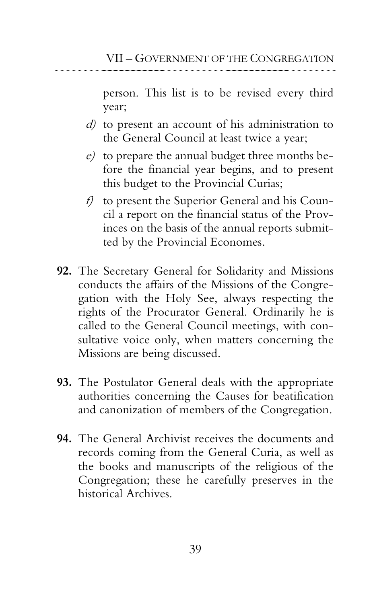person. This list is to be revised every third year;

- d) to present an account of his administration to the General Council at least twice a year;
- e) to prepare the annual budget three months before the financial year begins, and to present this budget to the Provincial Curias;
- f) to present the Superior General and his Council a report on the financial status of the Provinces on the basis of the annual reports submitted by the Provincial Economes.
- **92.** The Secretary General for Solidarity and Missions conducts the affairs of the Missions of the Congregation with the Holy See, always respecting the rights of the Procurator General. Ordinarily he is called to the General Council meetings, with consultative voice only, when matters concerning the Missions are being discussed.
- **93.** The Postulator General deals with the appropriate authorities concerning the Causes for beatification and canonization of members of the Congregation.
- **94.** The General Archivist receives the documents and records coming from the General Curia, as well as the books and manuscripts of the religious of the Congregation; these he carefully preserves in the historical Archives.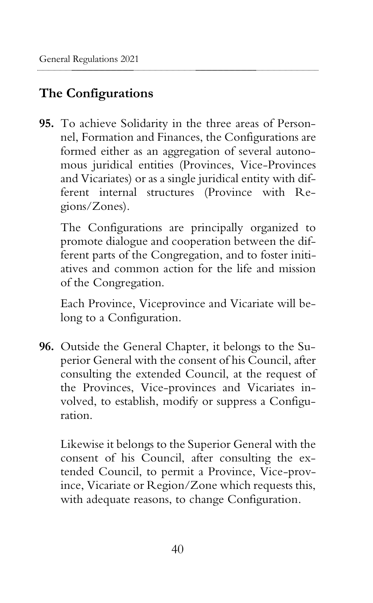## **The Configurations**

**95.** To achieve Solidarity in the three areas of Personnel, Formation and Finances, the Configurations are formed either as an aggregation of several autonomous juridical entities (Provinces, Vice-Provinces and Vicariates) or as a single juridical entity with different internal structures (Province with Regions/Zones).

The Configurations are principally organized to promote dialogue and cooperation between the different parts of the Congregation, and to foster initiatives and common action for the life and mission of the Congregation.

Each Province, Viceprovince and Vicariate will belong to a Configuration.

**96.** Outside the General Chapter, it belongs to the Superior General with the consent of his Council, after consulting the extended Council, at the request of the Provinces, Vice-provinces and Vicariates involved, to establish, modify or suppress a Configuration.

Likewise it belongs to the Superior General with the consent of his Council, after consulting the extended Council, to permit a Province, Vice-province, Vicariate or Region/Zone which requests this, with adequate reasons, to change Configuration.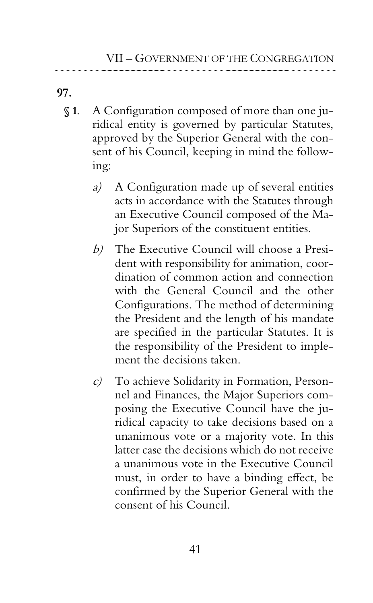**97.**

- **§ 1**. A Configuration composed of more than one juridical entity is governed by particular Statutes, approved by the Superior General with the consent of his Council, keeping in mind the following:
	- a) A Configuration made up of several entities acts in accordance with the Statutes through an Executive Council composed of the Major Superiors of the constituent entities.
	- b) The Executive Council will choose a President with responsibility for animation, coordination of common action and connection with the General Council and the other Configurations. The method of determining the President and the length of his mandate are specified in the particular Statutes. It is the responsibility of the President to implement the decisions taken.
	- c) To achieve Solidarity in Formation, Personnel and Finances, the Major Superiors composing the Executive Council have the juridical capacity to take decisions based on a unanimous vote or a majority vote. In this latter case the decisions which do not receive a unanimous vote in the Executive Council must, in order to have a binding effect, be confirmed by the Superior General with the consent of his Council.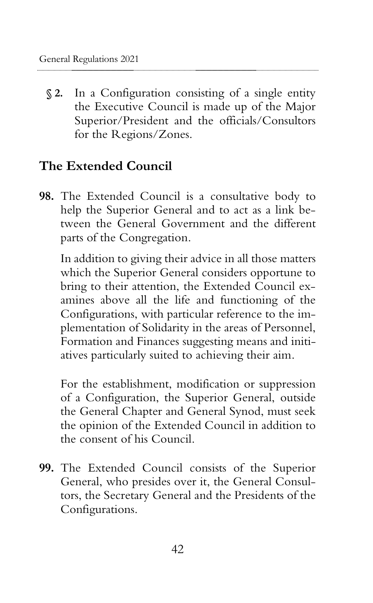**§ 2.** In a Configuration consisting of a single entity the Executive Council is made up of the Major Superior/President and the officials/Consultors for the Regions/Zones.

## **The Extended Council**

**98.** The Extended Council is a consultative body to help the Superior General and to act as a link between the General Government and the different parts of the Congregation.

In addition to giving their advice in all those matters which the Superior General considers opportune to bring to their attention, the Extended Council examines above all the life and functioning of the Configurations, with particular reference to the implementation of Solidarity in the areas of Personnel, Formation and Finances suggesting means and initiatives particularly suited to achieving their aim.

For the establishment, modification or suppression of a Configuration, the Superior General, outside the General Chapter and General Synod, must seek the opinion of the Extended Council in addition to the consent of his Council.

**99.** The Extended Council consists of the Superior General, who presides over it, the General Consultors, the Secretary General and the Presidents of the Configurations.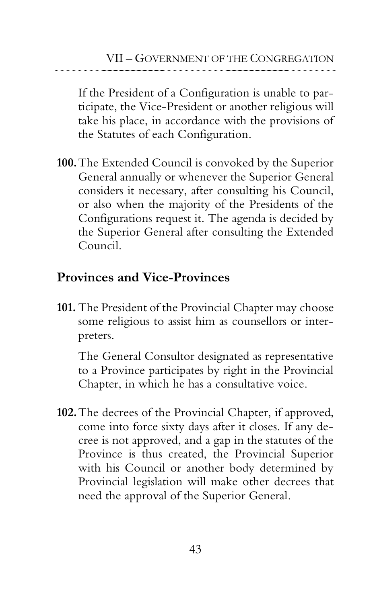If the President of a Configuration is unable to participate, the Vice-President or another religious will take his place, in accordance with the provisions of the Statutes of each Configuration.

**100.**The Extended Council is convoked by the Superior General annually or whenever the Superior General considers it necessary, after consulting his Council, or also when the majority of the Presidents of the Configurations request it. The agenda is decided by the Superior General after consulting the Extended Council.

## **Provinces and Vice-Provinces**

**101.** The President of the Provincial Chapter may choose some religious to assist him as counsellors or interpreters.

The General Consultor designated as representative to a Province participates by right in the Provincial Chapter, in which he has a consultative voice.

**102.**The decrees of the Provincial Chapter, if approved, come into force sixty days after it closes. If any decree is not approved, and a gap in the statutes of the Province is thus created, the Provincial Superior with his Council or another body determined by Provincial legislation will make other decrees that need the approval of the Superior General.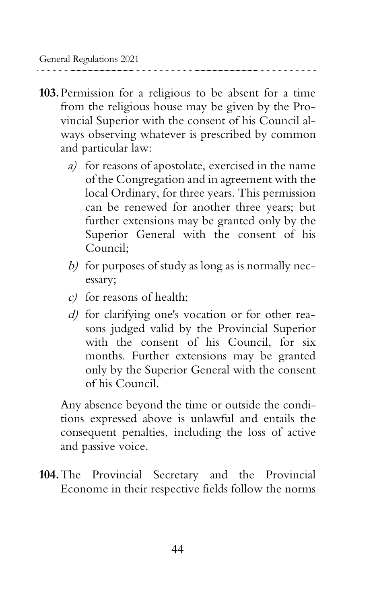- **103.**Permission for a religious to be absent for a time from the religious house may be given by the Provincial Superior with the consent of his Council always observing whatever is prescribed by common and particular law:
	- a) for reasons of apostolate, exercised in the name of the Congregation and in agreement with the local Ordinary, for three years. This permission can be renewed for another three years; but further extensions may be granted only by the Superior General with the consent of his Council;
	- b) for purposes of study as long as is normally necessary;
	- c) for reasons of health;
	- d) for clarifying one's vocation or for other reasons judged valid by the Provincial Superior with the consent of his Council, for six months. Further extensions may be granted only by the Superior General with the consent of his Council.

Any absence beyond the time or outside the conditions expressed above is unlawful and entails the consequent penalties, including the loss of active and passive voice.

**104.**The Provincial Secretary and the Provincial Econome in their respective fields follow the norms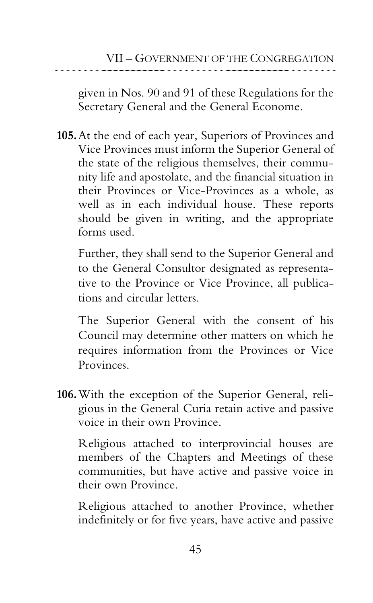given in Nos. 90 and 91 of these Regulations for the Secretary General and the General Econome.

**105.**At the end of each year, Superiors of Provinces and Vice Provinces must inform the Superior General of the state of the religious themselves, their community life and apostolate, and the financial situation in their Provinces or Vice-Provinces as a whole, as well as in each individual house. These reports should be given in writing, and the appropriate forms used.

Further, they shall send to the Superior General and to the General Consultor designated as representative to the Province or Vice Province, all publications and circular letters.

The Superior General with the consent of his Council may determine other matters on which he requires information from the Provinces or Vice Provinces.

**106.**With the exception of the Superior General, religious in the General Curia retain active and passive voice in their own Province.

Religious attached to interprovincial houses are members of the Chapters and Meetings of these communities, but have active and passive voice in their own Province.

Religious attached to another Province, whether indefinitely or for five years, have active and passive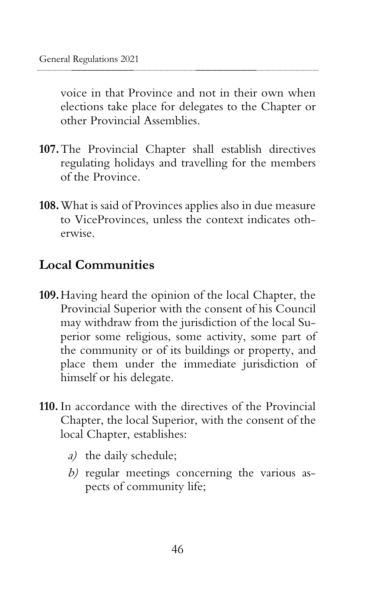voice in that Province and not in their own when elections take place for delegates to the Chapter or other Provincial Assemblies.

- **107.**The Provincial Chapter shall establish directives regulating holidays and travelling for the members of the Province.
- **108.**What is said of Provinces applies also in due measure to ViceProvinces, unless the context indicates otherwise.

## **Local Communities**

- **109.**Having heard the opinion of the local Chapter, the Provincial Superior with the consent of his Council may withdraw from the jurisdiction of the local Superior some religious, some activity, some part of the community or of its buildings or property, and place them under the immediate jurisdiction of himself or his delegate.
- **110.** In accordance with the directives of the Provincial Chapter, the local Superior, with the consent of the local Chapter, establishes:
	- a) the daily schedule;
	- b) regular meetings concerning the various aspects of community life;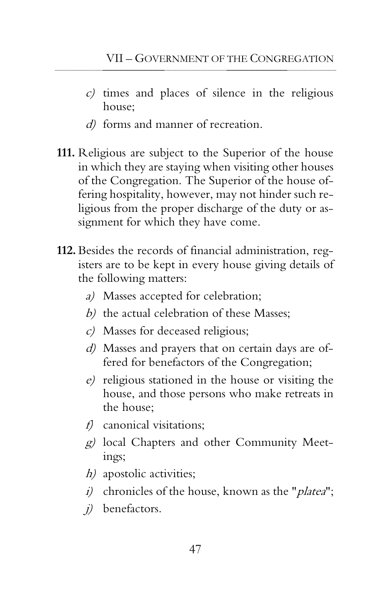- c) times and places of silence in the religious house;
- d) forms and manner of recreation.
- **111.** Religious are subject to the Superior of the house in which they are staying when visiting other houses of the Congregation. The Superior of the house offering hospitality, however, may not hinder such religious from the proper discharge of the duty or assignment for which they have come.
- **112.** Besides the records of financial administration, registers are to be kept in every house giving details of the following matters:
	- a) Masses accepted for celebration;
	- b) the actual celebration of these Masses;
	- c) Masses for deceased religious;
	- d) Masses and prayers that on certain days are offered for benefactors of the Congregation;
	- e) religious stationed in the house or visiting the house, and those persons who make retreats in the house;
	- f) canonical visitations;
	- g) local Chapters and other Community Meetings;
	- h) apostolic activities;
	- i) chronicles of the house, known as the "*platea*";
	- j) benefactors.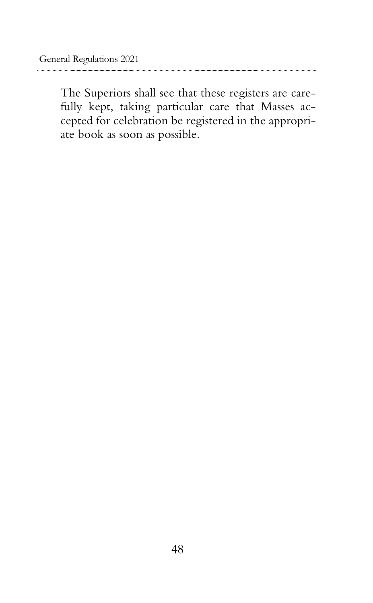The Superiors shall see that these registers are carefully kept, taking particular care that Masses accepted for celebration be registered in the appropriate book as soon as possible.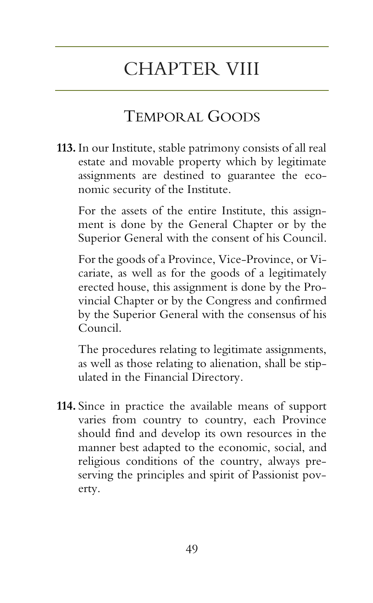# CHAPTER VIII

## TEMPORAL GOODS

**113.** In our Institute, stable patrimony consists of all real estate and movable property which by legitimate assignments are destined to guarantee the economic security of the Institute.

For the assets of the entire Institute, this assignment is done by the General Chapter or by the Superior General with the consent of his Council.

For the goods of a Province, Vice-Province, or Vicariate, as well as for the goods of a legitimately erected house, this assignment is done by the Provincial Chapter or by the Congress and confirmed by the Superior General with the consensus of his Council.

The procedures relating to legitimate assignments, as well as those relating to alienation, shall be stipulated in the Financial Directory.

**114.** Since in practice the available means of support varies from country to country, each Province should find and develop its own resources in the manner best adapted to the economic, social, and religious conditions of the country, always preserving the principles and spirit of Passionist poverty.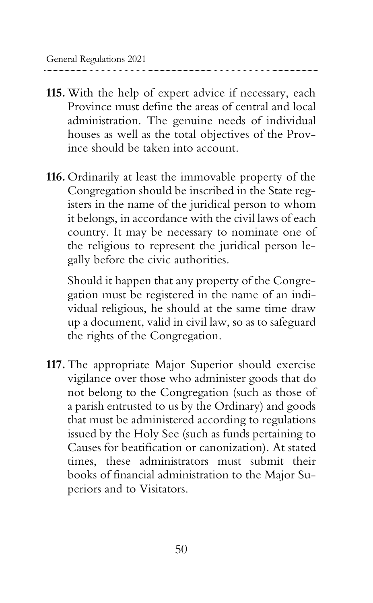- **115.** With the help of expert advice if necessary, each Province must define the areas of central and local administration. The genuine needs of individual houses as well as the total objectives of the Province should be taken into account.
- **116.** Ordinarily at least the immovable property of the Congregation should be inscribed in the State registers in the name of the juridical person to whom it belongs, in accordance with the civil laws of each country. It may be necessary to nominate one of the religious to represent the juridical person legally before the civic authorities.

Should it happen that any property of the Congregation must be registered in the name of an individual religious, he should at the same time draw up a document, valid in civil law, so as to safeguard the rights of the Congregation.

**117.** The appropriate Major Superior should exercise vigilance over those who administer goods that do not belong to the Congregation (such as those of a parish entrusted to us by the Ordinary) and goods that must be administered according to regulations issued by the Holy See (such as funds pertaining to Causes for beatification or canonization). At stated times, these administrators must submit their books of financial administration to the Major Superiors and to Visitators.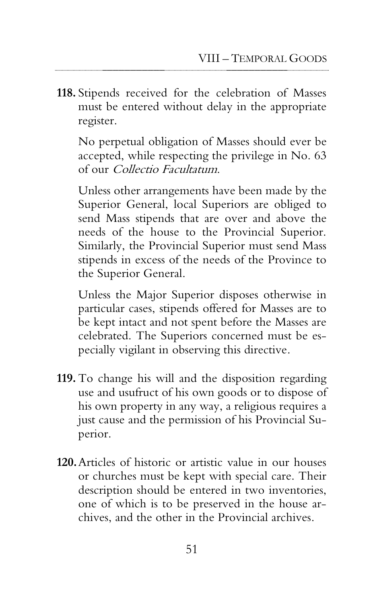**118.** Stipends received for the celebration of Masses must be entered without delay in the appropriate register.

No perpetual obligation of Masses should ever be accepted, while respecting the privilege in No. 63 of our Collectio Facultatum.

Unless other arrangements have been made by the Superior General, local Superiors are obliged to send Mass stipends that are over and above the needs of the house to the Provincial Superior. Similarly, the Provincial Superior must send Mass stipends in excess of the needs of the Province to the Superior General.

Unless the Major Superior disposes otherwise in particular cases, stipends offered for Masses are to be kept intact and not spent before the Masses are celebrated. The Superiors concerned must be especially vigilant in observing this directive.

- **119.** To change his will and the disposition regarding use and usufruct of his own goods or to dispose of his own property in any way, a religious requires a just cause and the permission of his Provincial Superior.
- **120.**Articles of historic or artistic value in our houses or churches must be kept with special care. Their description should be entered in two inventories, one of which is to be preserved in the house archives, and the other in the Provincial archives.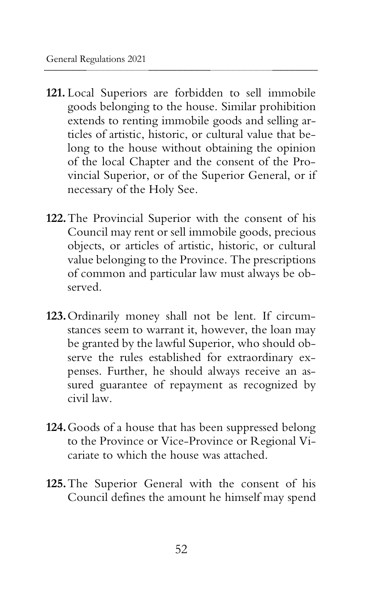- **121.** Local Superiors are forbidden to sell immobile goods belonging to the house. Similar prohibition extends to renting immobile goods and selling articles of artistic, historic, or cultural value that belong to the house without obtaining the opinion of the local Chapter and the consent of the Provincial Superior, or of the Superior General, or if necessary of the Holy See.
- **122.**The Provincial Superior with the consent of his Council may rent or sell immobile goods, precious objects, or articles of artistic, historic, or cultural value belonging to the Province. The prescriptions of common and particular law must always be observed.
- **123.**Ordinarily money shall not be lent. If circumstances seem to warrant it, however, the loan may be granted by the lawful Superior, who should observe the rules established for extraordinary expenses. Further, he should always receive an assured guarantee of repayment as recognized by civil law.
- **124.**Goods of a house that has been suppressed belong to the Province or Vice-Province or Regional Vicariate to which the house was attached.
- **125.**The Superior General with the consent of his Council defines the amount he himself may spend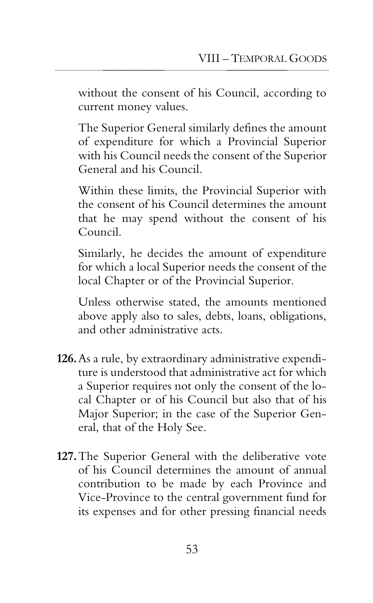without the consent of his Council, according to current money values.

The Superior General similarly defines the amount of expenditure for which a Provincial Superior with his Council needs the consent of the Superior General and his Council.

Within these limits, the Provincial Superior with the consent of his Council determines the amount that he may spend without the consent of his Council.

Similarly, he decides the amount of expenditure for which a local Superior needs the consent of the local Chapter or of the Provincial Superior.

Unless otherwise stated, the amounts mentioned above apply also to sales, debts, loans, obligations, and other administrative acts.

- **126.**As a rule, by extraordinary administrative expenditure is understood that administrative act for which a Superior requires not only the consent of the local Chapter or of his Council but also that of his Major Superior; in the case of the Superior General, that of the Holy See.
- **127.**The Superior General with the deliberative vote of his Council determines the amount of annual contribution to be made by each Province and Vice-Province to the central government fund for its expenses and for other pressing financial needs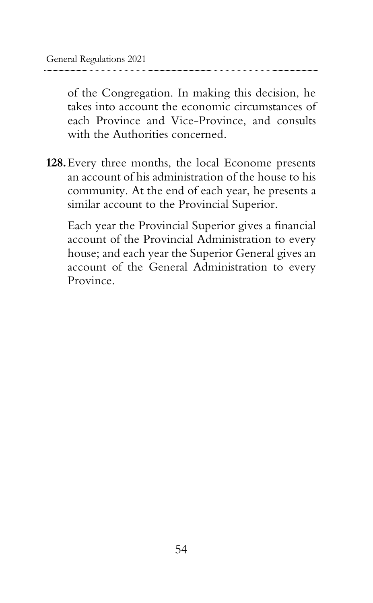of the Congregation. In making this decision, he takes into account the economic circumstances of each Province and Vice-Province, and consults with the Authorities concerned.

**128.**Every three months, the local Econome presents an account of his administration of the house to his community. At the end of each year, he presents a similar account to the Provincial Superior.

Each year the Provincial Superior gives a financial account of the Provincial Administration to every house; and each year the Superior General gives an account of the General Administration to every Province.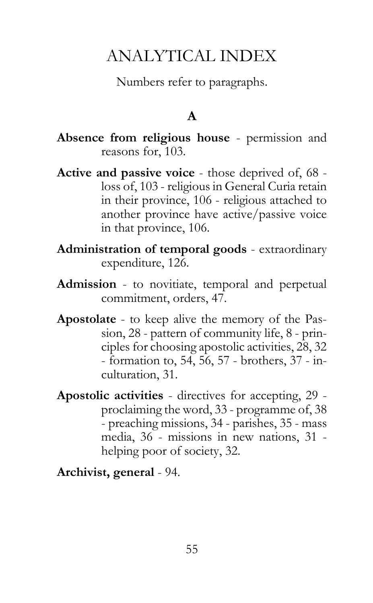# ANALYTICAL INDEX

Numbers refer to paragraphs.

#### **A**

- **Absence from religious house** permission and reasons for, 103.
- **Active and passive voice** those deprived of, 68 loss of, 103 - religious in General Curia retain in their province, 106 - religious attached to another province have active/passive voice in that province, 106.
- **Administration of temporal goods** extraordinary expenditure, 126.
- **Admission** to novitiate, temporal and perpetual commitment, orders, 47.
- **Apostolate** to keep alive the memory of the Passion, 28 - pattern of community life, 8 - principles for choosing apostolic activities, 28, 32 - formation to, 54, 56, 57 - brothers, 37 - inculturation, 31.
- **Apostolic activities** directives for accepting, 29 proclaiming the word, 33 - programme of, 38 - preaching missions, 34 - parishes, 35 - mass media, 36 - missions in new nations, 31 helping poor of society, 32.

**Archivist, general** - 94.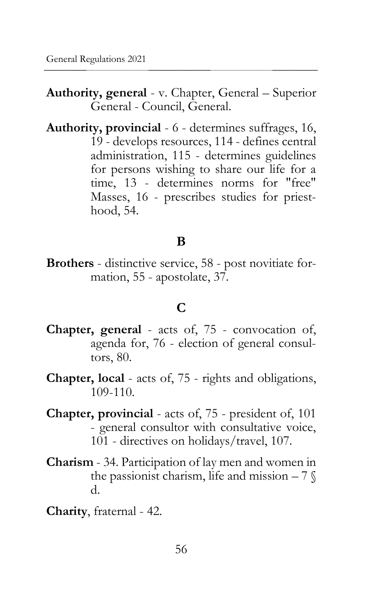**Authority, general** - v. Chapter, General – Superior General - Council, General.

**Authority, provincial** - 6 - determines suffrages, 16, 19 - develops resources, 114 - defines central administration, 115 - determines guidelines for persons wishing to share our life for a time, 13 - determines norms for "free" Masses, 16 - prescribes studies for priesthood, 54.

#### **B**

**Brothers** - distinctive service, 58 - post novitiate formation, 55 - apostolate, 37.

#### **C**

- **Chapter, general** acts of, 75 convocation of, agenda for, 76 - election of general consultors, 80.
- **Chapter, local** acts of, 75 rights and obligations, 109-110.
- **Chapter, provincial** acts of, 75 president of, 101 - general consultor with consultative voice, 101 - directives on holidays/travel, 107.
- **Charism** 34. Participation of lay men and women in the passionist charism, life and mission  $-7\%$ d.
- **Charity**, fraternal 42.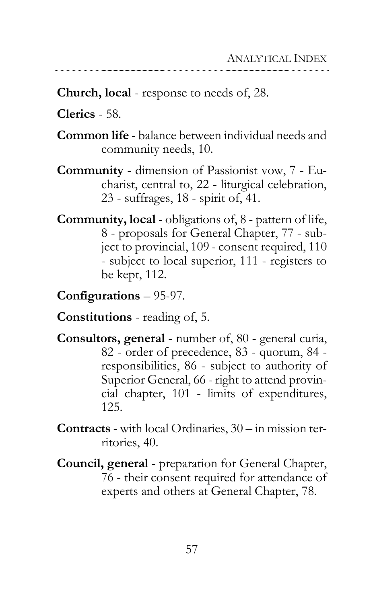**Church, local** - response to needs of, 28.

**Clerics** - 58.

- **Common life** balance between individual needs and community needs, 10.
- **Community** dimension of Passionist vow, 7 Eucharist, central to, 22 - liturgical celebration, 23 - suffrages, 18 - spirit of, 41.
- **Community, local** obligations of, 8 pattern of life, 8 - proposals for General Chapter, 77 - subject to provincial, 109 - consent required, 110 - subject to local superior, 111 - registers to be kept, 112.

**Configurations** – 95-97.

**Constitutions** - reading of, 5.

- **Consultors, general** number of, 80 general curia, 82 - order of precedence, 83 - quorum, 84 responsibilities, 86 - subject to authority of Superior General, 66 - right to attend provincial chapter, 101 - limits of expenditures, 125.
- **Contracts** with local Ordinaries, 30 in mission territories, 40.
- **Council, general** preparation for General Chapter, 76 - their consent required for attendance of experts and others at General Chapter, 78.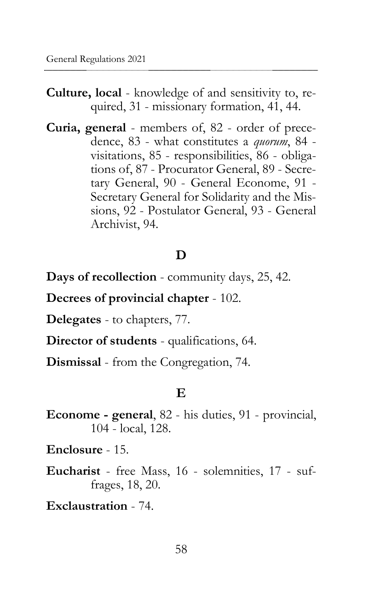- **Culture, local** knowledge of and sensitivity to, required, 31 - missionary formation, 41, 44.
- **Curia, general** members of, 82 order of precedence, 83 - what constitutes a *quorum*, 84 visitations, 85 - responsibilities, 86 - obligations of, 87 - Procurator General, 89 - Secretary General, 90 - General Econome, 91 - Secretary General for Solidarity and the Missions, 92 - Postulator General, 93 - General Archivist, 94.

## **D**

**Days of recollection** - community days, 25, 42.

**Decrees of provincial chapter** - 102.

**Delegates** - to chapters, 77.

**Director of students** - qualifications, 64.

**Dismissal** - from the Congregation, 74.

#### **E**

**Econome - general**, 82 - his duties, 91 - provincial, 104 - local, 128.

**Enclosure** - 15.

**Eucharist** - free Mass, 16 - solemnities, 17 - suffrages, 18, 20.

**Exclaustration** - 74.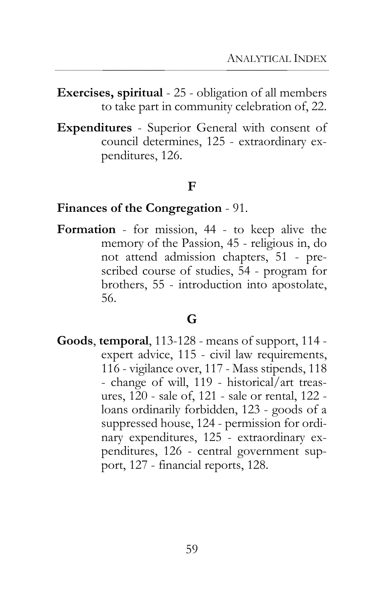**Exercises, spiritual** - 25 - obligation of all members to take part in community celebration of, 22.

**Expenditures** - Superior General with consent of council determines, 125 - extraordinary expenditures, 126.

#### **F**

#### **Finances of the Congregation** - 91.

**Formation** - for mission, 44 - to keep alive the memory of the Passion, 45 - religious in, do not attend admission chapters, 51 - prescribed course of studies, 54 - program for brothers, 55 - introduction into apostolate, 56.

#### **G**

**Goods**, **temporal**, 113-128 - means of support, 114 expert advice, 115 - civil law requirements, 116 - vigilance over, 117 - Mass stipends, 118 - change of will, 119 - historical/art treasures, 120 - sale of, 121 - sale or rental, 122 loans ordinarily forbidden, 123 - goods of a suppressed house, 124 - permission for ordinary expenditures, 125 - extraordinary expenditures, 126 - central government support, 127 - financial reports, 128.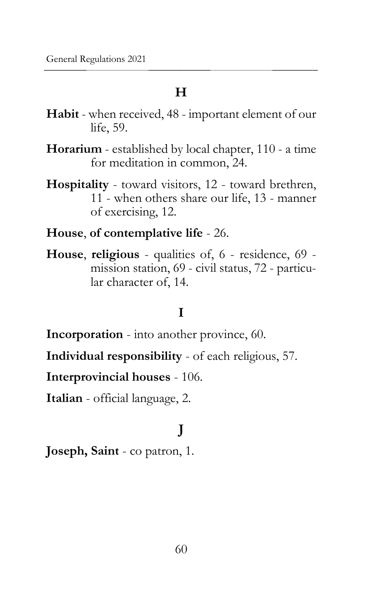#### **H**

- **Habit** when received, 48 important element of our life, 59.
- **Horarium** established by local chapter, 110 a time for meditation in common, 24.
- **Hospitality** toward visitors, 12 toward brethren, 11 - when others share our life, 13 - manner of exercising, 12.
- **House**, **of contemplative life** 26.
- **House**, **religious** qualities of, 6 residence, 69 mission station, 69 - civil status, 72 - particular character of, 14.

## **I**

**Incorporation** - into another province, 60.

**Individual responsibility** - of each religious, 57.

**Interprovincial houses** - 106.

**Italian** - official language, 2.

## **J**

**Joseph, Saint** - co patron, 1.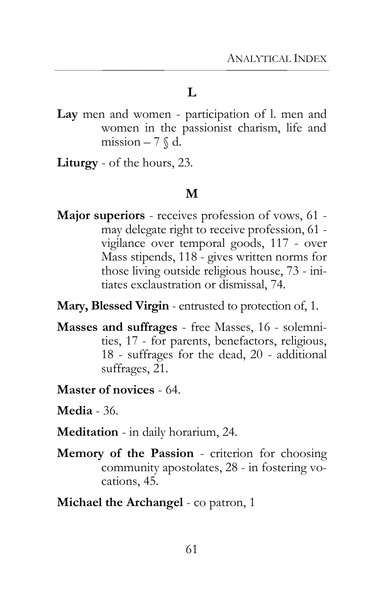#### **L**

- **Lay** men and women participation of l. men and women in the passionist charism, life and mission  $-7 \, \text{\textcircled{k}}$  d.
- **Liturgy** of the hours, 23.

#### **M**

- **Major superiors** receives profession of vows, 61 may delegate right to receive profession, 61 vigilance over temporal goods, 117 - over Mass stipends, 118 - gives written norms for those living outside religious house, 73 - initiates exclaustration or dismissal, 74.
- **Mary, Blessed Virgin** entrusted to protection of, 1.
- **Masses and suffrages** free Masses, 16 solemnities, 17 - for parents, benefactors, religious, 18 - suffrages for the dead, 20 - additional suffrages, 21.
- **Master of novices** 64.
- **Media** 36.
- **Meditation** in daily horarium, 24.
- **Memory of the Passion** criterion for choosing community apostolates, 28 - in fostering vocations, 45.
- **Michael the Archangel** co patron, 1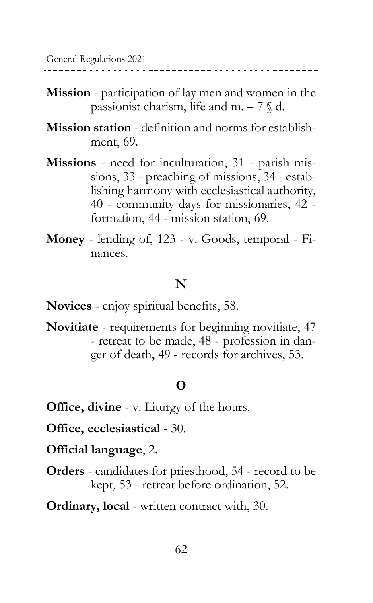- **Mission** participation of lay men and women in the passionist charism, life and m.  $-7 \, \text{\textdegree}$  d.
- **Mission station** definition and norms for establishment, 69.
- **Missions** need for inculturation, 31 parish missions, 33 - preaching of missions, 34 - establishing harmony with ecclesiastical authority, 40 - community days for missionaries, 42 formation, 44 - mission station, 69.
- **Money** lending of, 123 v. Goods, temporal Finances.

#### **N**

**Novices** - enjoy spiritual benefits, 58.

**Novitiate** - requirements for beginning novitiate, 47 - retreat to be made, 48 - profession in danger of death, 49 - records for archives, 53.

#### **O**

**Office, divine** - v. Liturgy of the hours.

**Office, ecclesiastical** - 30.

**Official language**, 2**.**

**Orders** - candidates for priesthood, 54 - record to be kept, 53 - retreat before ordination, 52.

**Ordinary, local** - written contract with, 30.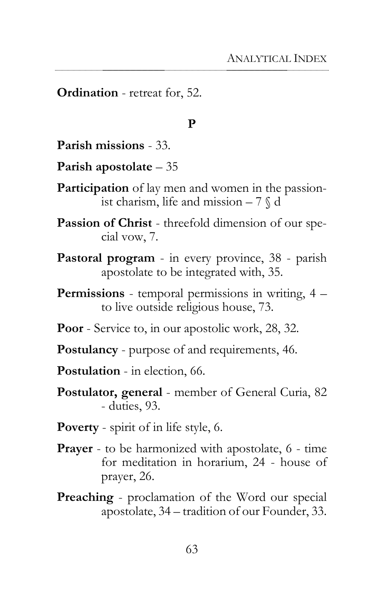**Ordination** - retreat for, 52.

#### **P**

**Parish missions** - 33.

- **Parish apostolate** 35
- **Participation** of lay men and women in the passionist charism, life and mission  $-7 \text{ }\%$  d
- **Passion of Christ** threefold dimension of our special vow, 7.
- **Pastoral program** in every province, 38 parish apostolate to be integrated with, 35.
- **Permissions** temporal permissions in writing, 4 to live outside religious house, 73.
- **Poor** Service to, in our apostolic work, 28, 32.
- **Postulancy** purpose of and requirements, 46.
- **Postulation** in election, 66.
- **Postulator, general** member of General Curia, 82 - duties, 93.
- **Poverty** spirit of in life style, 6.
- **Prayer** to be harmonized with apostolate, 6 time for meditation in horarium, 24 - house of prayer, 26.
- **Preaching** proclamation of the Word our special apostolate, 34 – tradition of our Founder, 33.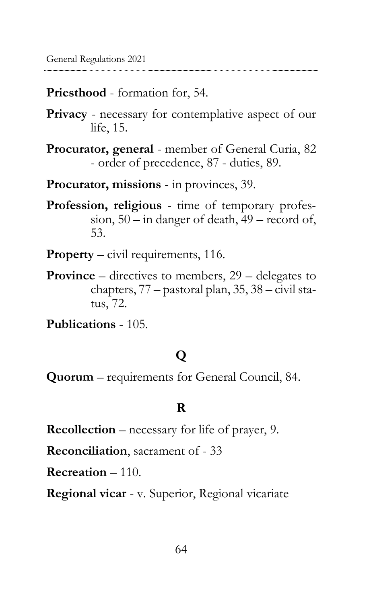**Priesthood** - formation for, 54.

**Privacy** - necessary for contemplative aspect of our life, 15.

**Procurator, general** - member of General Curia, 82 - order of precedence, 87 - duties, 89.

**Procurator, missions** - in provinces, 39.

**Profession, religious** - time of temporary profession, 50 – in danger of death, 49 – record of, 53.

**Property** – civil requirements, 116.

**Province** – directives to members, 29 – delegates to chapters, 77 – pastoral plan, 35, 38 – civil status, 72.

**Publications** - 105.

## **Q**

**Quorum** – requirements for General Council, 84.

#### **R**

**Recollection** – necessary for life of prayer, 9.

**Reconciliation**, sacrament of - 33

**Recreation** – 110.

**Regional vicar** - v. Superior, Regional vicariate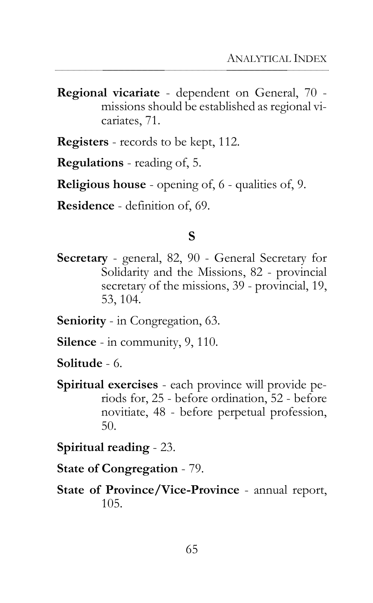**Regional vicariate** - dependent on General, 70 missions should be established as regional vicariates, 71.

**Registers** - records to be kept, 112.

**Regulations** - reading of, 5.

**Religious house** - opening of, 6 - qualities of, 9.

**Residence** - definition of, 69.

#### **S**

**Secretary** - general, 82, 90 - General Secretary for Solidarity and the Missions, 82 - provincial secretary of the missions, 39 - provincial, 19, 53, 104.

**Seniority** - in Congregation, 63.

**Silence** - in community, 9, 110.

**Solitude** - 6.

**Spiritual exercises** - each province will provide periods for, 25 - before ordination, 52 - before novitiate, 48 - before perpetual profession, 50.

**Spiritual reading** - 23.

**State of Congregation** - 79.

**State of Province/Vice-Province** - annual report, 105.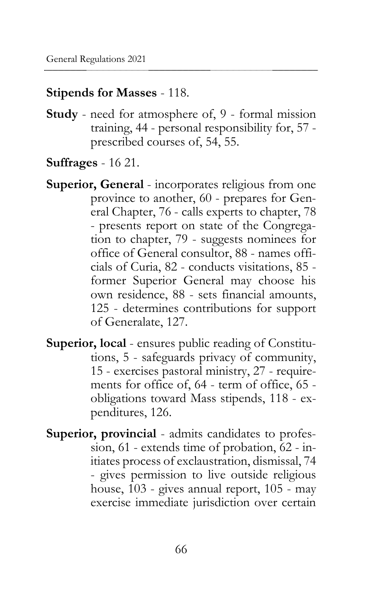#### **Stipends for Masses** - 118.

- **Study** need for atmosphere of, 9 formal mission training, 44 - personal responsibility for, 57 prescribed courses of, 54, 55.
- **Suffrages** 16 21.
- **Superior, General** incorporates religious from one province to another, 60 - prepares for General Chapter, 76 - calls experts to chapter, 78 - presents report on state of the Congregation to chapter, 79 - suggests nominees for office of General consultor, 88 - names officials of Curia, 82 - conducts visitations, 85 former Superior General may choose his own residence, 88 - sets financial amounts, 125 - determines contributions for support of Generalate, 127.
- **Superior, local** ensures public reading of Constitutions, 5 - safeguards privacy of community, 15 - exercises pastoral ministry, 27 - requirements for office of, 64 - term of office, 65 obligations toward Mass stipends, 118 - expenditures, 126.
- **Superior, provincial** admits candidates to profession, 61 - extends time of probation, 62 - initiates process of exclaustration, dismissal, 74 - gives permission to live outside religious house, 103 - gives annual report, 105 - may exercise immediate jurisdiction over certain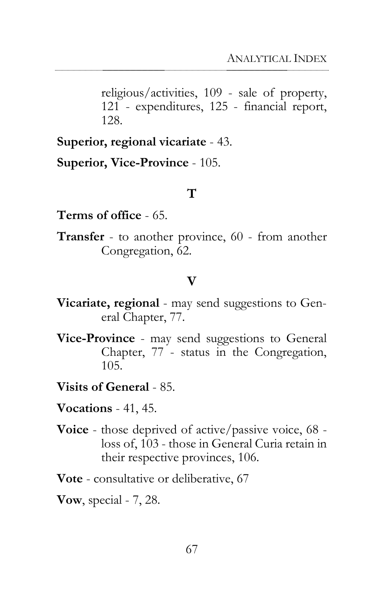religious/activities, 109 - sale of property, 121 - expenditures, 125 - financial report, 128.

**Superior, regional vicariate** - 43.

**Superior, Vice-Province** - 105.

#### **T**

**Terms of office** - 65.

**Transfer** - to another province, 60 - from another Congregation, 62.

### **V**

- **Vicariate, regional** may send suggestions to General Chapter, 77.
- **Vice-Province** may send suggestions to General Chapter, 77 - status in the Congregation, 105.
- **Visits of General** 85.
- **Vocations** 41, 45.
- **Voice** those deprived of active/passive voice, 68 loss of, 103 - those in General Curia retain in their respective provinces, 106.

**Vote** - consultative or deliberative, 67

**Vow**, special - 7, 28.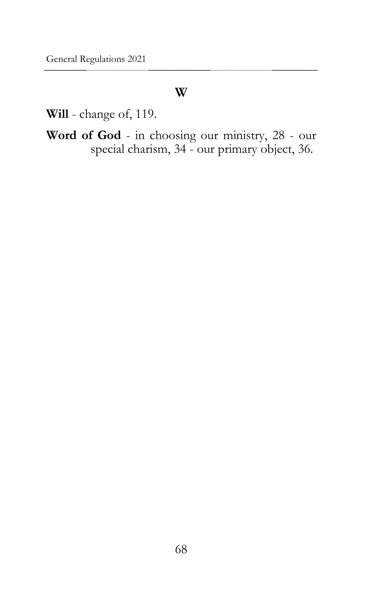### **W**

**Will** - change of, 119.

**Word of God** - in choosing our ministry, 28 - our special charism, 34 - our primary object, 36.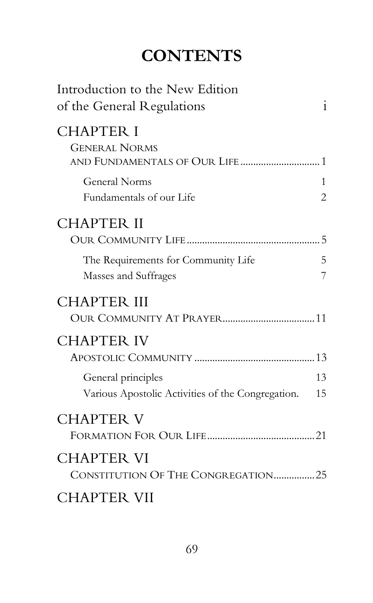# **CONTENTS**